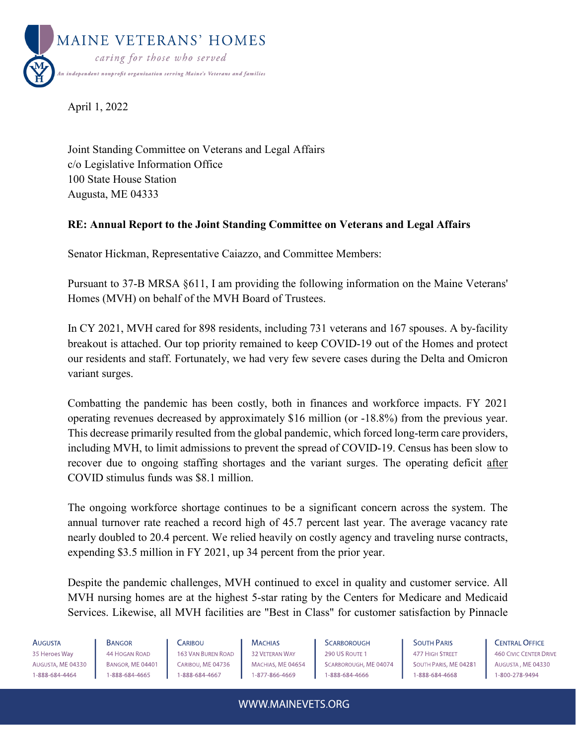

April 1, 2022

Joint Standing Committee on Veterans and Legal Affairs c/o Legislative Information Office 100 State House Station Augusta, ME 04333

# **RE: Annual Report to the Joint Standing Committee on Veterans and Legal Affairs**

Senator Hickman, Representative Caiazzo, and Committee Members:

Pursuant to 37-B MRSA §611, I am providing the following information on the Maine Veterans' Homes (MVH) on behalf of the MVH Board of Trustees.

In CY 2021, MVH cared for 898 residents, including 731 veterans and 167 spouses. A by-facility breakout is attached. Our top priority remained to keep COVID-19 out of the Homes and protect our residents and staff. Fortunately, we had very few severe cases during the Delta and Omicron variant surges.

Combatting the pandemic has been costly, both in finances and workforce impacts. FY 2021 operating revenues decreased by approximately \$16 million (or -18.8%) from the previous year. This decrease primarily resulted from the global pandemic, which forced long-term care providers, including MVH, to limit admissions to prevent the spread of COVID-19. Census has been slow to recover due to ongoing staffing shortages and the variant surges. The operating deficit after COVID stimulus funds was \$8.1 million.

The ongoing workforce shortage continues to be a significant concern across the system. The annual turnover rate reached a record high of 45.7 percent last year. The average vacancy rate nearly doubled to 20.4 percent. We relied heavily on costly agency and traveling nurse contracts, expending \$3.5 million in FY 2021, up 34 percent from the prior year.

Despite the pandemic challenges, MVH continued to excel in quality and customer service. All MVH nursing homes are at the highest 5-star rating by the Centers for Medicare and Medicaid Services. Likewise, all MVH facilities are "Best in Class" for customer satisfaction by Pinnacle

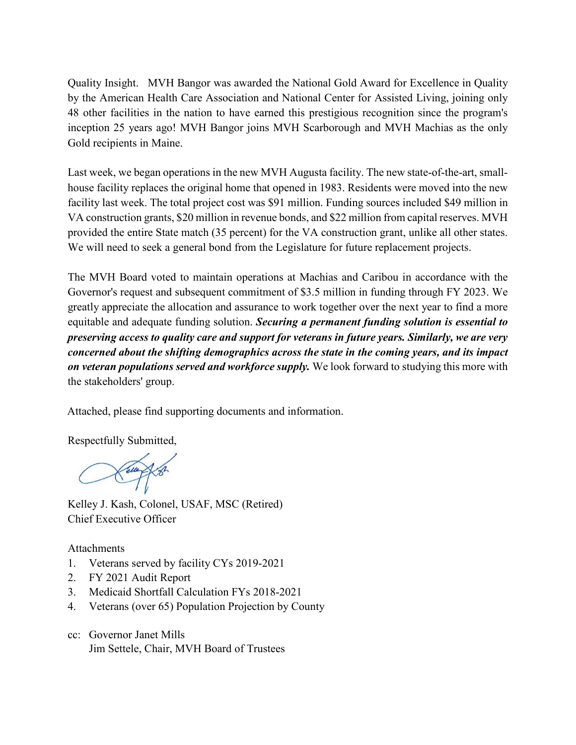Quality Insight. MVH Bangor was awarded the National Gold Award for Excellence in Quality by the American Health Care Association and National Center for Assisted Living, joining only 48 other facilities in the nation to have earned this prestigious recognition since the program's inception 25 years ago! MVH Bangor joins MVH Scarborough and MVH Machias as the only Gold recipients in Maine.

Last week, we began operations in the new MVH Augusta facility. The new state-of-the-art, smallhouse facility replaces the original home that opened in 1983. Residents were moved into the new facility last week. The total project cost was \$91 million. Funding sources included \$49 million in VA construction grants, \$20 million in revenue bonds, and \$22 million from capital reserves. MVH provided the entire State match (35 percent) for the VA construction grant, unlike all other states. We will need to seek a general bond from the Legislature for future replacement projects.

The MVH Board voted to maintain operations at Machias and Caribou in accordance with the Governor's request and subsequent commitment of \$3.5 million in funding through FY 2023. We greatly appreciate the allocation and assurance to work together over the next year to find a more equitable and adequate funding solution. *Securing a permanent funding solution is essential to preserving access to quality care and support for veterans in future years. Similarly, we are very concerned about the shifting demographics across the state in the coming years, and its impact on veteran populations served and workforce supply.* We look forward to studying this more with the stakeholders' group.

Attached, please find supporting documents and information.

Respectfully Submitted,

Kelley J. Kash, Colonel, USAF, MSC (Retired) Chief Executive Officer

Attachments

- 1. Veterans served by facility CYs 2019-2021
- 2. FY 2021 Audit Report
- 3. Medicaid Shortfall Calculation FYs 2018-2021
- 4. Veterans (over 65) Population Projection by County
- cc: Governor Janet Mills Jim Settele, Chair, MVH Board of Trustees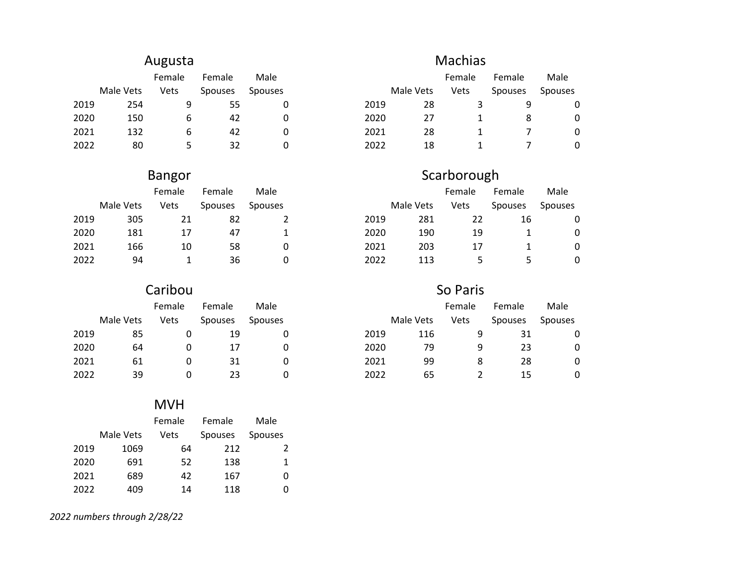# Augusta

|      |           | Female | Female         | Male           |      |           | Female | Female         | Male           |
|------|-----------|--------|----------------|----------------|------|-----------|--------|----------------|----------------|
|      | Male Vets | Vets   | <b>Spouses</b> | <b>Spouses</b> |      | Male Vets | Vets   | <b>Spouses</b> | <b>Spouses</b> |
| 2019 | 254       | q      | 55             |                | 2019 | 28        |        | Q              |                |
| 2020 | 150       | b      | 42             |                | 2020 | 27        |        |                |                |
| 2021 | 132       | b      | 42             |                | 2021 | 28        |        |                |                |
| 2022 | 80        |        | 32             |                | 2022 | 18        |        |                |                |

# Bangor

|      |           | Female | Female         | Male           |      |           | Female | Female         | Male           |
|------|-----------|--------|----------------|----------------|------|-----------|--------|----------------|----------------|
|      | Male Vets | Vets   | <b>Spouses</b> | <b>Spouses</b> |      | Male Vets | Vets   | <b>Spouses</b> | <b>Spouses</b> |
| 2019 | 305       |        | 82             |                | 2019 | 281       | 22     | 16             |                |
| 2020 | 181       | 17     | 47             |                | 2020 | 190       | 19     |                |                |
| 2021 | 166       | 10     | 58             |                | 2021 | 203       | 17     |                |                |
| 2022 | 94        |        | 36             |                | 2022 | 113       |        |                |                |

#### Male Vets Female Vets Female Spouses Male Spouses Caribou

# MVH

|      |           | Female | Female         | Male           |
|------|-----------|--------|----------------|----------------|
|      | Male Vets | Vets   | <b>Spouses</b> | <b>Spouses</b> |
| 2019 | 1069      | 64     | 212            | 2              |
| 2020 | 691       | 52     | 138            | 1              |
| 2021 | 689       | 42     | 167            | 0              |
| 2022 | 409       | 14     | 118            |                |

# *2022 numbers through 2/28/22*

# Machias

|      |           | Female | Female         | Male           |      |           | Female | Female         | Male           |
|------|-----------|--------|----------------|----------------|------|-----------|--------|----------------|----------------|
|      | Male Vets | Vets   | <b>Spouses</b> | <b>Spouses</b> |      | Male Vets | Vets   | <b>Spouses</b> | <b>Spouses</b> |
| 2019 | 254       |        | 55             |                | 2019 | 28        |        |                |                |
| 2020 | 150       | b      | 42             |                | 2020 | 27        |        |                | 0              |
| 2021 | 132       | b      | 42             |                | 2021 | 28        |        |                | 0              |
| 2022 | 80        |        | 32             |                | 2022 | 18        |        |                | 0              |

# Scarborough

|      |           | Female | Female         | Male           |      |           | Female | Female         | Male           |
|------|-----------|--------|----------------|----------------|------|-----------|--------|----------------|----------------|
|      | Male Vets | Vets   | <b>Spouses</b> | <b>Spouses</b> |      | Male Vets | Vets   | <b>Spouses</b> | <b>Spouses</b> |
| 2019 | 305       | 21     | -82            |                | 2019 | 281       | 22     | 16             | 0              |
| 2020 | 181       | 17     | 47             |                | 2020 | 190       | 19     |                | 0              |
| 2021 | 166       | 10     | 58             |                | 2021 | 203       | 17     |                | 0              |
| 2022 | 94        |        | 36             | O              | 2022 | 113       |        |                | 0              |

# So Paris

|      |           | Female | Female         | Male           |      |           | Female | Female         | Male           |
|------|-----------|--------|----------------|----------------|------|-----------|--------|----------------|----------------|
|      | Male Vets | Vets   | <b>Spouses</b> | <b>Spouses</b> |      | Male Vets | Vets   | <b>Spouses</b> | <b>Spouses</b> |
| 2019 | 85        |        | 19             |                | 2019 | 116       | 9      | 31             |                |
| 2020 | 64        |        |                |                | 2020 | 79        | 9      | 23             | 0              |
| 2021 | 61        |        | 31             |                | 2021 | 99        | 8      | 28             | 0              |
| 2022 | 39        |        | 23             |                | 2022 | 65        |        | 15             | 0              |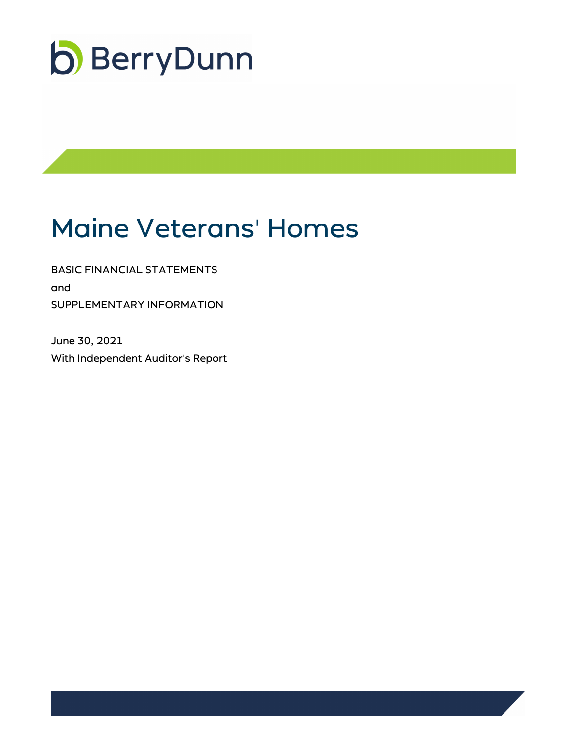

# Maine Veterans' Homes

BASIC FINANCIAL STATEMENTS and SUPPLEMENTARY INFORMATION

June 30, 2021 With Independent Auditor's Report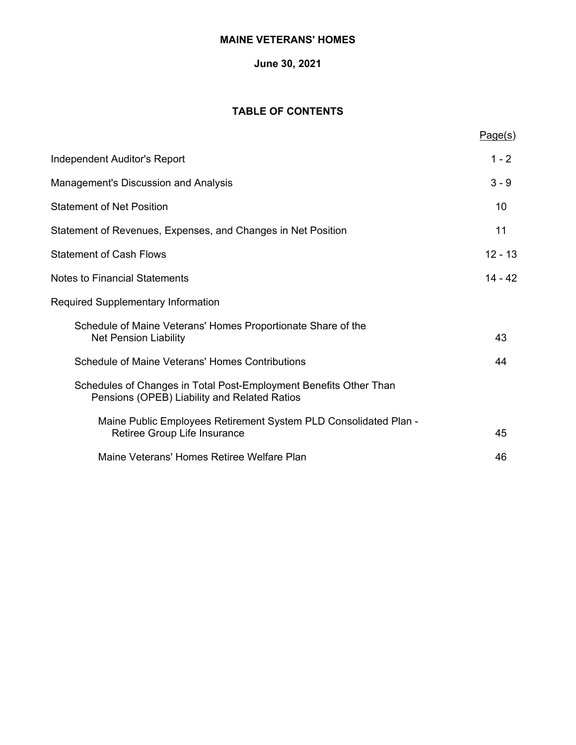# **June 30, 2021**

# **TABLE OF CONTENTS**

|                                                                                                                   | Page(s)   |
|-------------------------------------------------------------------------------------------------------------------|-----------|
| <b>Independent Auditor's Report</b>                                                                               | $1 - 2$   |
| <b>Management's Discussion and Analysis</b>                                                                       | $3 - 9$   |
| <b>Statement of Net Position</b>                                                                                  | 10        |
| Statement of Revenues, Expenses, and Changes in Net Position                                                      | 11        |
| <b>Statement of Cash Flows</b>                                                                                    | $12 - 13$ |
| <b>Notes to Financial Statements</b>                                                                              | $14 - 42$ |
| <b>Required Supplementary Information</b>                                                                         |           |
| Schedule of Maine Veterans' Homes Proportionate Share of the<br><b>Net Pension Liability</b>                      | 43        |
| Schedule of Maine Veterans' Homes Contributions                                                                   | 44        |
| Schedules of Changes in Total Post-Employment Benefits Other Than<br>Pensions (OPEB) Liability and Related Ratios |           |
| Maine Public Employees Retirement System PLD Consolidated Plan -<br>Retiree Group Life Insurance                  | 45        |
| Maine Veterans' Homes Retiree Welfare Plan                                                                        | 46        |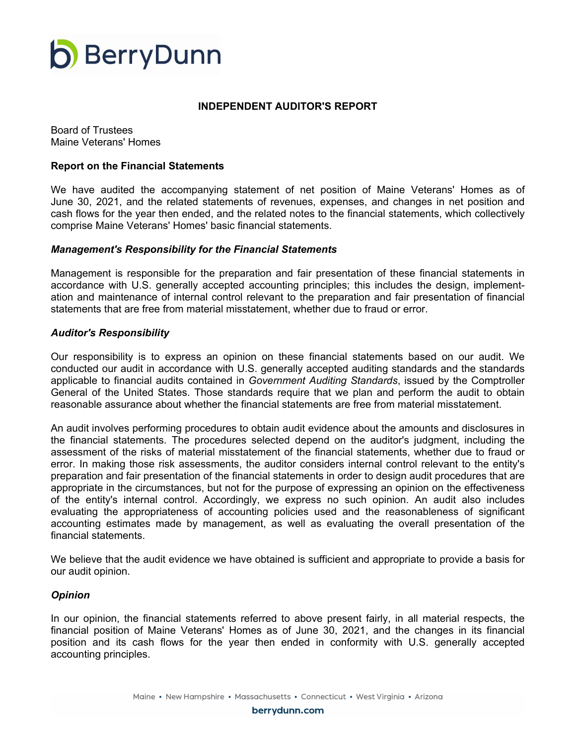

#### **INDEPENDENT AUDITOR'S REPORT**

Board of Trustees Maine Veterans' Homes

#### **Report on the Financial Statements**

We have audited the accompanying statement of net position of Maine Veterans' Homes as of June 30, 2021, and the related statements of revenues, expenses, and changes in net position and cash flows for the year then ended, and the related notes to the financial statements, which collectively comprise Maine Veterans' Homes' basic financial statements.

#### *Management's Responsibility for the Financial Statements*

Management is responsible for the preparation and fair presentation of these financial statements in accordance with U.S. generally accepted accounting principles; this includes the design, implementation and maintenance of internal control relevant to the preparation and fair presentation of financial statements that are free from material misstatement, whether due to fraud or error.

#### *Auditor's Responsibility*

Our responsibility is to express an opinion on these financial statements based on our audit. We conducted our audit in accordance with U.S. generally accepted auditing standards and the standards applicable to financial audits contained in *Government Auditing Standards*, issued by the Comptroller General of the United States. Those standards require that we plan and perform the audit to obtain reasonable assurance about whether the financial statements are free from material misstatement.

An audit involves performing procedures to obtain audit evidence about the amounts and disclosures in the financial statements. The procedures selected depend on the auditor's judgment, including the assessment of the risks of material misstatement of the financial statements, whether due to fraud or error. In making those risk assessments, the auditor considers internal control relevant to the entity's preparation and fair presentation of the financial statements in order to design audit procedures that are appropriate in the circumstances, but not for the purpose of expressing an opinion on the effectiveness of the entity's internal control. Accordingly, we express no such opinion. An audit also includes evaluating the appropriateness of accounting policies used and the reasonableness of significant accounting estimates made by management, as well as evaluating the overall presentation of the financial statements.

We believe that the audit evidence we have obtained is sufficient and appropriate to provide a basis for our audit opinion.

#### *Opinion*

In our opinion, the financial statements referred to above present fairly, in all material respects, the financial position of Maine Veterans' Homes as of June 30, 2021, and the changes in its financial position and its cash flows for the year then ended in conformity with U.S. generally accepted accounting principles.

berrydunn.com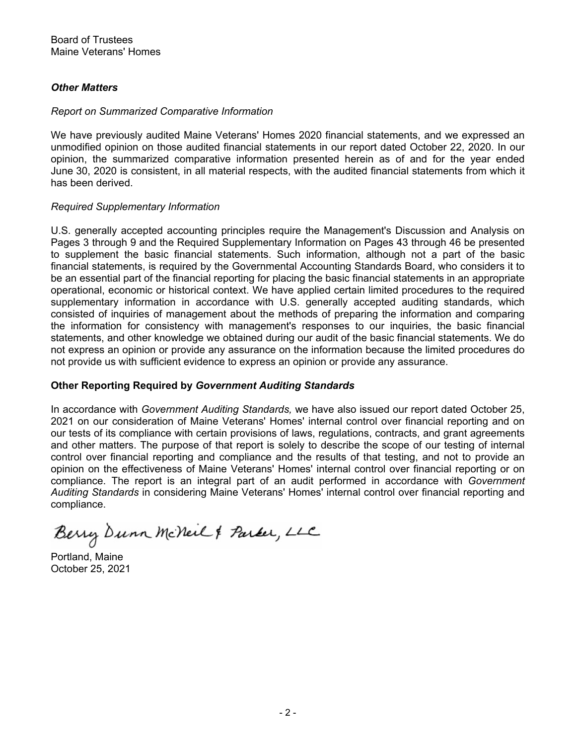# *Other Matters*

# *Report on Summarized Comparative Information*

We have previously audited Maine Veterans' Homes 2020 financial statements, and we expressed an unmodified opinion on those audited financial statements in our report dated October 22, 2020. In our opinion, the summarized comparative information presented herein as of and for the year ended June 30, 2020 is consistent, in all material respects, with the audited financial statements from which it has been derived.

# *Required Supplementary Information*

U.S. generally accepted accounting principles require the Management's Discussion and Analysis on Pages 3 through 9 and the Required Supplementary Information on Pages 43 through 46 be presented to supplement the basic financial statements. Such information, although not a part of the basic financial statements, is required by the Governmental Accounting Standards Board, who considers it to be an essential part of the financial reporting for placing the basic financial statements in an appropriate operational, economic or historical context. We have applied certain limited procedures to the required supplementary information in accordance with U.S. generally accepted auditing standards, which consisted of inquiries of management about the methods of preparing the information and comparing the information for consistency with management's responses to our inquiries, the basic financial statements, and other knowledge we obtained during our audit of the basic financial statements. We do not express an opinion or provide any assurance on the information because the limited procedures do not provide us with sufficient evidence to express an opinion or provide any assurance.

# **Other Reporting Required by** *Government Auditing Standards*

In accordance with *Government Auditing Standards,* we have also issued our report dated October 25, 2021 on our consideration of Maine Veterans' Homes' internal control over financial reporting and on our tests of its compliance with certain provisions of laws, regulations, contracts, and grant agreements and other matters. The purpose of that report is solely to describe the scope of our testing of internal control over financial reporting and compliance and the results of that testing, and not to provide an opinion on the effectiveness of Maine Veterans' Homes' internal control over financial reporting or on compliance. The report is an integral part of an audit performed in accordance with *Government Auditing Standards* in considering Maine Veterans' Homes' internal control over financial reporting and compliance.

Berry Dunn McNeil & Parker, LLC

Portland, Maine October 25, 2021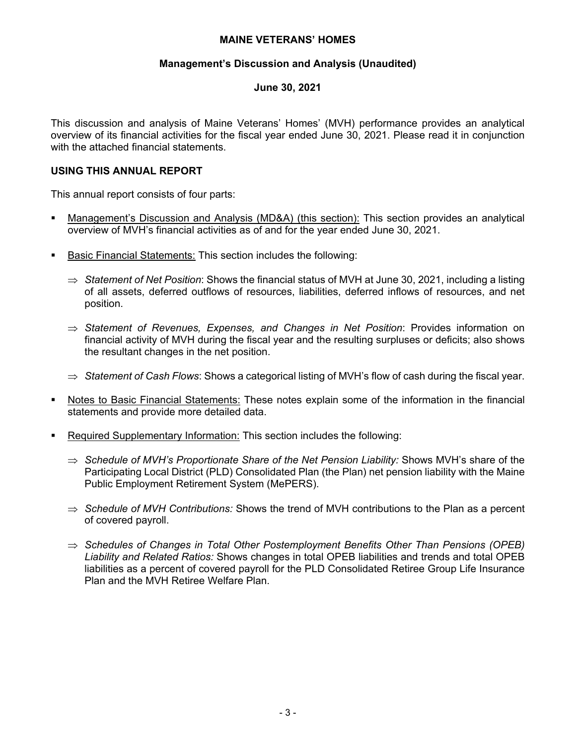#### **Management's Discussion and Analysis (Unaudited)**

# **June 30, 2021**

This discussion and analysis of Maine Veterans' Homes' (MVH) performance provides an analytical overview of its financial activities for the fiscal year ended June 30, 2021. Please read it in conjunction with the attached financial statements.

# **USING THIS ANNUAL REPORT**

This annual report consists of four parts:

- Management's Discussion and Analysis (MD&A) (this section): This section provides an analytical overview of MVH's financial activities as of and for the year ended June 30, 2021.
- Basic Financial Statements: This section includes the following:
	- $\Rightarrow$  Statement of Net Position: Shows the financial status of MVH at June 30, 2021, including a listing of all assets, deferred outflows of resources, liabilities, deferred inflows of resources, and net position.
	- *Statement of Revenues, Expenses, and Changes in Net Position*: Provides information on financial activity of MVH during the fiscal year and the resulting surpluses or deficits; also shows the resultant changes in the net position.
	- $\Rightarrow$  Statement of Cash Flows: Shows a categorical listing of MVH's flow of cash during the fiscal year.
- Notes to Basic Financial Statements: These notes explain some of the information in the financial statements and provide more detailed data.
- Required Supplementary Information: This section includes the following:
	- ⇒ Schedule of MVH's Proportionate Share of the Net Pension Liability: Shows MVH's share of the Participating Local District (PLD) Consolidated Plan (the Plan) net pension liability with the Maine Public Employment Retirement System (MePERS).
	- $\Rightarrow$  Schedule of MVH Contributions: Shows the trend of MVH contributions to the Plan as a percent of covered payroll.
	- *Schedules of Changes in Total Other Postemployment Benefits Other Than Pensions (OPEB) Liability and Related Ratios:* Shows changes in total OPEB liabilities and trends and total OPEB liabilities as a percent of covered payroll for the PLD Consolidated Retiree Group Life Insurance Plan and the MVH Retiree Welfare Plan.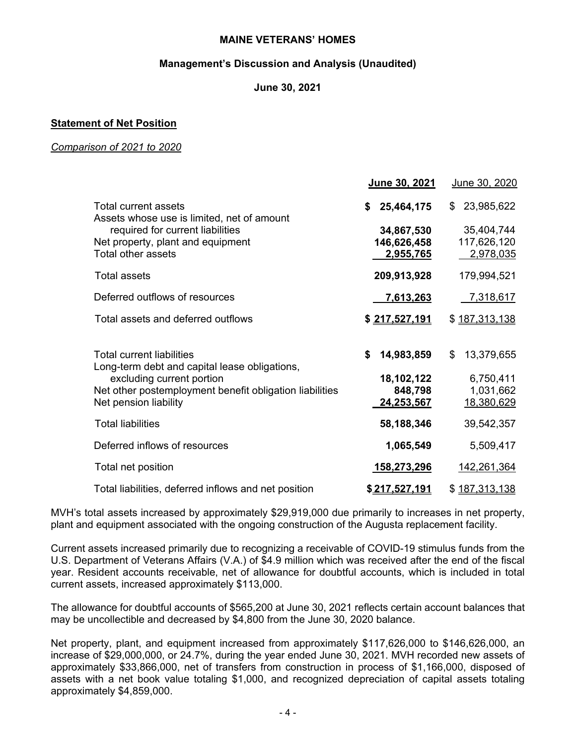## **Management's Discussion and Analysis (Unaudited)**

# **June 30, 2021**

# **Statement of Net Position**

#### *Comparison of 2021 to 2020*

|                                                                                                                                                                                             | June 30, 2021                                              | June 30, 2020                                              |
|---------------------------------------------------------------------------------------------------------------------------------------------------------------------------------------------|------------------------------------------------------------|------------------------------------------------------------|
| <b>Total current assets</b><br>Assets whose use is limited, net of amount<br>required for current liabilities<br>Net property, plant and equipment<br>Total other assets                    | 25,464,175<br>\$<br>34,867,530<br>146,626,458<br>2,955,765 | 23,985,622<br>\$<br>35,404,744<br>117,626,120<br>2,978,035 |
| <b>Total assets</b>                                                                                                                                                                         | 209,913,928                                                | 179,994,521                                                |
| Deferred outflows of resources                                                                                                                                                              | <u>7,613,263</u>                                           | 7,318,617                                                  |
| Total assets and deferred outflows                                                                                                                                                          | \$217,527,191                                              | \$187,313,138                                              |
| Total current liabilities<br>Long-term debt and capital lease obligations,<br>excluding current portion<br>Net other postemployment benefit obligation liabilities<br>Net pension liability | 14,983,859<br>\$<br>18,102,122<br>848,798<br>24,253,567    | 13,379,655<br>\$<br>6,750,411<br>1,031,662<br>18,380,629   |
| <b>Total liabilities</b>                                                                                                                                                                    | 58,188,346                                                 | 39,542,357                                                 |
| Deferred inflows of resources                                                                                                                                                               | 1,065,549                                                  | 5,509,417                                                  |
| Total net position                                                                                                                                                                          | <u>158,273,296</u>                                         | <u>142,261,364</u>                                         |
| Total liabilities, deferred inflows and net position                                                                                                                                        | <u>\$217,527,191</u>                                       | \$187,313,138                                              |

MVH's total assets increased by approximately \$29,919,000 due primarily to increases in net property, plant and equipment associated with the ongoing construction of the Augusta replacement facility.

Current assets increased primarily due to recognizing a receivable of COVID-19 stimulus funds from the U.S. Department of Veterans Affairs (V.A.) of \$4.9 million which was received after the end of the fiscal year. Resident accounts receivable, net of allowance for doubtful accounts, which is included in total current assets, increased approximately \$113,000.

The allowance for doubtful accounts of \$565,200 at June 30, 2021 reflects certain account balances that may be uncollectible and decreased by \$4,800 from the June 30, 2020 balance.

Net property, plant, and equipment increased from approximately \$117,626,000 to \$146,626,000, an increase of \$29,000,000, or 24.7%, during the year ended June 30, 2021. MVH recorded new assets of approximately \$33,866,000, net of transfers from construction in process of \$1,166,000, disposed of assets with a net book value totaling \$1,000, and recognized depreciation of capital assets totaling approximately \$4,859,000.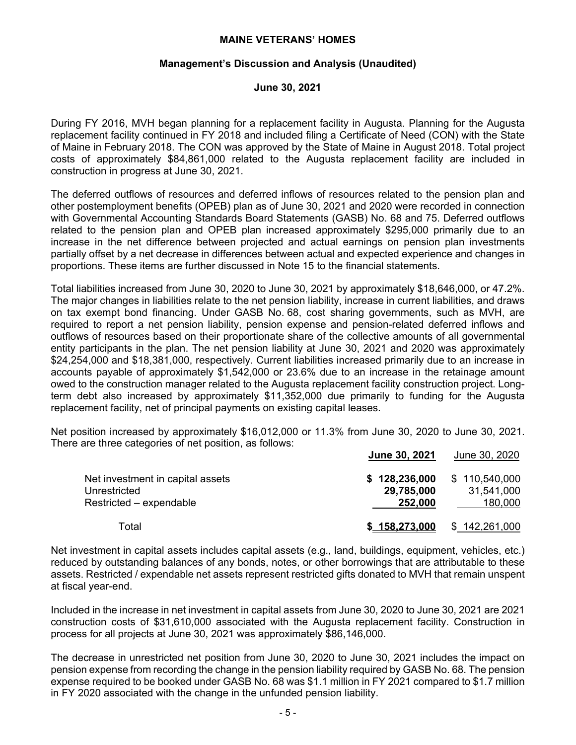#### **Management's Discussion and Analysis (Unaudited)**

#### **June 30, 2021**

During FY 2016, MVH began planning for a replacement facility in Augusta. Planning for the Augusta replacement facility continued in FY 2018 and included filing a Certificate of Need (CON) with the State of Maine in February 2018. The CON was approved by the State of Maine in August 2018. Total project costs of approximately \$84,861,000 related to the Augusta replacement facility are included in construction in progress at June 30, 2021.

The deferred outflows of resources and deferred inflows of resources related to the pension plan and other postemployment benefits (OPEB) plan as of June 30, 2021 and 2020 were recorded in connection with Governmental Accounting Standards Board Statements (GASB) No. 68 and 75. Deferred outflows related to the pension plan and OPEB plan increased approximately \$295,000 primarily due to an increase in the net difference between projected and actual earnings on pension plan investments partially offset by a net decrease in differences between actual and expected experience and changes in proportions. These items are further discussed in Note 15 to the financial statements.

Total liabilities increased from June 30, 2020 to June 30, 2021 by approximately \$18,646,000, or 47.2%. The major changes in liabilities relate to the net pension liability, increase in current liabilities, and draws on tax exempt bond financing. Under GASB No. 68, cost sharing governments, such as MVH, are required to report a net pension liability, pension expense and pension-related deferred inflows and outflows of resources based on their proportionate share of the collective amounts of all governmental entity participants in the plan. The net pension liability at June 30, 2021 and 2020 was approximately \$24,254,000 and \$18,381,000, respectively. Current liabilities increased primarily due to an increase in accounts payable of approximately \$1,542,000 or 23.6% due to an increase in the retainage amount owed to the construction manager related to the Augusta replacement facility construction project. Longterm debt also increased by approximately \$11,352,000 due primarily to funding for the Augusta replacement facility, net of principal payments on existing capital leases.

Net position increased by approximately \$16,012,000 or 11.3% from June 30, 2020 to June 30, 2021. There are three categories of net position, as follows:

|                                                                             | June 30, 2021                          | <u>June 30, 2020</u>                   |
|-----------------------------------------------------------------------------|----------------------------------------|----------------------------------------|
| Net investment in capital assets<br>Unrestricted<br>Restricted - expendable | \$128,236,000<br>29,785,000<br>252,000 | \$110,540,000<br>31,541,000<br>180,000 |
| Total                                                                       | \$158.273.000                          | \$142,261,000                          |

Net investment in capital assets includes capital assets (e.g., land, buildings, equipment, vehicles, etc.) reduced by outstanding balances of any bonds, notes, or other borrowings that are attributable to these assets. Restricted / expendable net assets represent restricted gifts donated to MVH that remain unspent at fiscal year-end.

Included in the increase in net investment in capital assets from June 30, 2020 to June 30, 2021 are 2021 construction costs of \$31,610,000 associated with the Augusta replacement facility. Construction in process for all projects at June 30, 2021 was approximately \$86,146,000.

The decrease in unrestricted net position from June 30, 2020 to June 30, 2021 includes the impact on pension expense from recording the change in the pension liability required by GASB No. 68. The pension expense required to be booked under GASB No. 68 was \$1.1 million in FY 2021 compared to \$1.7 million in FY 2020 associated with the change in the unfunded pension liability.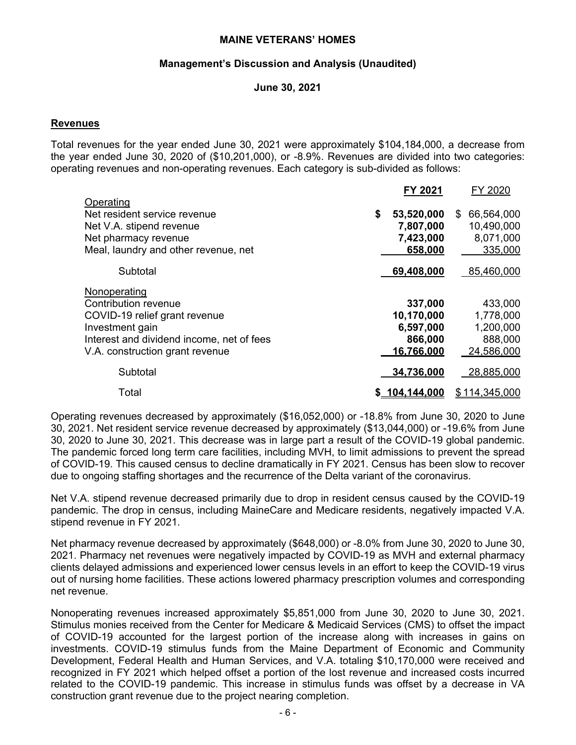#### **Management's Discussion and Analysis (Unaudited)**

#### **June 30, 2021**

#### **Revenues**

Total revenues for the year ended June 30, 2021 were approximately \$104,184,000, a decrease from the year ended June 30, 2020 of (\$10,201,000), or -8.9%. Revenues are divided into two categories: operating revenues and non-operating revenues. Each category is sub-divided as follows:

|                                           | FY 2021          | FY 2020         |
|-------------------------------------------|------------------|-----------------|
| Operating<br>Net resident service revenue | \$<br>53,520,000 | 66,564,000<br>S |
| Net V.A. stipend revenue                  | 7,807,000        | 10,490,000      |
| Net pharmacy revenue                      | 7,423,000        | 8,071,000       |
| Meal, laundry and other revenue, net      | 658,000          | 335,000         |
| Subtotal                                  | 69,408,000       | 85,460,000      |
| Nonoperating                              |                  |                 |
| Contribution revenue                      | 337,000          | 433,000         |
| COVID-19 relief grant revenue             | 10,170,000       | 1,778,000       |
| Investment gain                           | 6,597,000        | 1,200,000       |
| Interest and dividend income, net of fees | 866,000          | 888,000         |
| V.A. construction grant revenue           | 16.766.000       | 24,586,000      |
| Subtotal                                  | 34,736,000       | 28,885,000      |
| Total                                     | \$_104.144.000   | 114,345,000     |

Operating revenues decreased by approximately (\$16,052,000) or -18.8% from June 30, 2020 to June 30, 2021. Net resident service revenue decreased by approximately (\$13,044,000) or -19.6% from June 30, 2020 to June 30, 2021. This decrease was in large part a result of the COVID-19 global pandemic. The pandemic forced long term care facilities, including MVH, to limit admissions to prevent the spread of COVID-19. This caused census to decline dramatically in FY 2021. Census has been slow to recover due to ongoing staffing shortages and the recurrence of the Delta variant of the coronavirus.

Net V.A. stipend revenue decreased primarily due to drop in resident census caused by the COVID-19 pandemic. The drop in census, including MaineCare and Medicare residents, negatively impacted V.A. stipend revenue in FY 2021.

Net pharmacy revenue decreased by approximately (\$648,000) or -8.0% from June 30, 2020 to June 30, 2021. Pharmacy net revenues were negatively impacted by COVID-19 as MVH and external pharmacy clients delayed admissions and experienced lower census levels in an effort to keep the COVID-19 virus out of nursing home facilities. These actions lowered pharmacy prescription volumes and corresponding net revenue.

Nonoperating revenues increased approximately \$5,851,000 from June 30, 2020 to June 30, 2021. Stimulus monies received from the Center for Medicare & Medicaid Services (CMS) to offset the impact of COVID-19 accounted for the largest portion of the increase along with increases in gains on investments. COVID-19 stimulus funds from the Maine Department of Economic and Community Development, Federal Health and Human Services, and V.A. totaling \$10,170,000 were received and recognized in FY 2021 which helped offset a portion of the lost revenue and increased costs incurred related to the COVID-19 pandemic. This increase in stimulus funds was offset by a decrease in VA construction grant revenue due to the project nearing completion.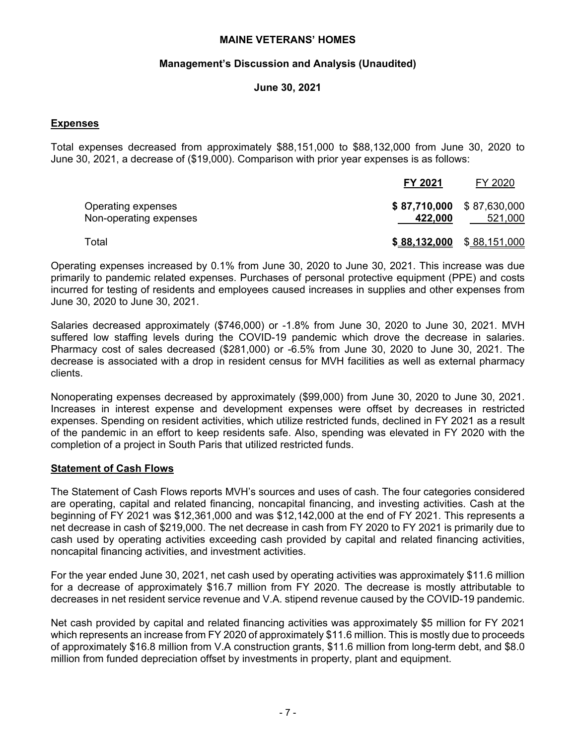#### **Management's Discussion and Analysis (Unaudited)**

#### **June 30, 2021**

# **Expenses**

Total expenses decreased from approximately \$88,151,000 to \$88,132,000 from June 30, 2020 to June 30, 2021, a decrease of (\$19,000). Comparison with prior year expenses is as follows:

|                                              | FY 2021      | FY 2020                                |
|----------------------------------------------|--------------|----------------------------------------|
| Operating expenses<br>Non-operating expenses | 422,000      | $$87,710,000$ $$87,630,000$<br>521,000 |
| Total                                        | \$88,132,000 | \$88,151,000                           |

Operating expenses increased by 0.1% from June 30, 2020 to June 30, 2021. This increase was due primarily to pandemic related expenses. Purchases of personal protective equipment (PPE) and costs incurred for testing of residents and employees caused increases in supplies and other expenses from June 30, 2020 to June 30, 2021.

Salaries decreased approximately (\$746,000) or -1.8% from June 30, 2020 to June 30, 2021. MVH suffered low staffing levels during the COVID-19 pandemic which drove the decrease in salaries. Pharmacy cost of sales decreased (\$281,000) or -6.5% from June 30, 2020 to June 30, 2021. The decrease is associated with a drop in resident census for MVH facilities as well as external pharmacy clients.

Nonoperating expenses decreased by approximately (\$99,000) from June 30, 2020 to June 30, 2021. Increases in interest expense and development expenses were offset by decreases in restricted expenses. Spending on resident activities, which utilize restricted funds, declined in FY 2021 as a result of the pandemic in an effort to keep residents safe. Also, spending was elevated in FY 2020 with the completion of a project in South Paris that utilized restricted funds.

#### **Statement of Cash Flows**

The Statement of Cash Flows reports MVH's sources and uses of cash. The four categories considered are operating, capital and related financing, noncapital financing, and investing activities. Cash at the beginning of FY 2021 was \$12,361,000 and was \$12,142,000 at the end of FY 2021. This represents a net decrease in cash of \$219,000. The net decrease in cash from FY 2020 to FY 2021 is primarily due to cash used by operating activities exceeding cash provided by capital and related financing activities, noncapital financing activities, and investment activities.

For the year ended June 30, 2021, net cash used by operating activities was approximately \$11.6 million for a decrease of approximately \$16.7 million from FY 2020. The decrease is mostly attributable to decreases in net resident service revenue and V.A. stipend revenue caused by the COVID-19 pandemic.

Net cash provided by capital and related financing activities was approximately \$5 million for FY 2021 which represents an increase from FY 2020 of approximately \$11.6 million. This is mostly due to proceeds of approximately \$16.8 million from V.A construction grants, \$11.6 million from long-term debt, and \$8.0 million from funded depreciation offset by investments in property, plant and equipment.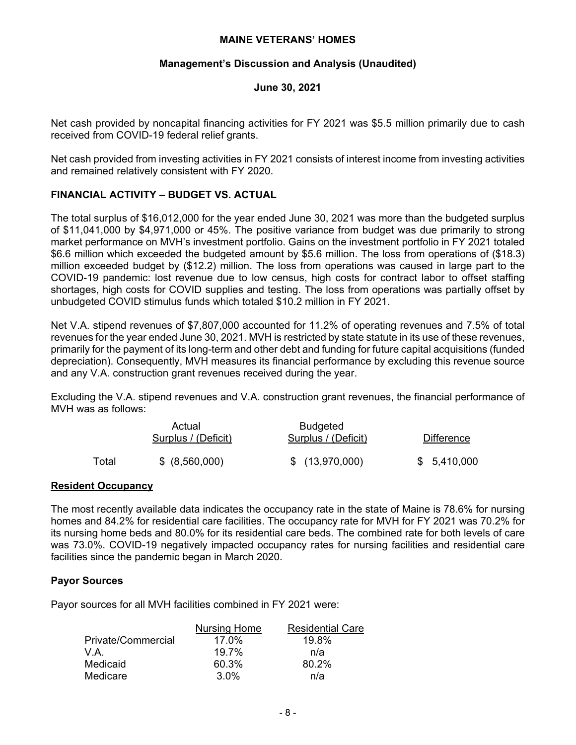#### **Management's Discussion and Analysis (Unaudited)**

#### **June 30, 2021**

Net cash provided by noncapital financing activities for FY 2021 was \$5.5 million primarily due to cash received from COVID-19 federal relief grants.

Net cash provided from investing activities in FY 2021 consists of interest income from investing activities and remained relatively consistent with FY 2020.

# **FINANCIAL ACTIVITY – BUDGET VS. ACTUAL**

The total surplus of \$16,012,000 for the year ended June 30, 2021 was more than the budgeted surplus of \$11,041,000 by \$4,971,000 or 45%. The positive variance from budget was due primarily to strong market performance on MVH's investment portfolio. Gains on the investment portfolio in FY 2021 totaled \$6.6 million which exceeded the budgeted amount by \$5.6 million. The loss from operations of (\$18.3) million exceeded budget by (\$12.2) million. The loss from operations was caused in large part to the COVID-19 pandemic: lost revenue due to low census, high costs for contract labor to offset staffing shortages, high costs for COVID supplies and testing. The loss from operations was partially offset by unbudgeted COVID stimulus funds which totaled \$10.2 million in FY 2021.

Net V.A. stipend revenues of \$7,807,000 accounted for 11.2% of operating revenues and 7.5% of total revenues for the year ended June 30, 2021. MVH is restricted by state statute in its use of these revenues, primarily for the payment of its long-term and other debt and funding for future capital acquisitions (funded depreciation). Consequently, MVH measures its financial performance by excluding this revenue source and any V.A. construction grant revenues received during the year.

Excluding the V.A. stipend revenues and V.A. construction grant revenues, the financial performance of MVH was as follows:

|       | Actual<br>Surplus / (Deficit) | Budgeted<br>Surplus / (Deficit) | <b>Difference</b> |
|-------|-------------------------------|---------------------------------|-------------------|
| Total | \$ (8,560,000)                | \$(13,970,000)                  | \$5,410,000       |

#### **Resident Occupancy**

The most recently available data indicates the occupancy rate in the state of Maine is 78.6% for nursing homes and 84.2% for residential care facilities. The occupancy rate for MVH for FY 2021 was 70.2% for its nursing home beds and 80.0% for its residential care beds. The combined rate for both levels of care was 73.0%. COVID-19 negatively impacted occupancy rates for nursing facilities and residential care facilities since the pandemic began in March 2020.

# **Payor Sources**

Payor sources for all MVH facilities combined in FY 2021 were:

|                    | <b>Nursing Home</b> | <b>Residential Care</b> |
|--------------------|---------------------|-------------------------|
| Private/Commercial | 17.0%               | 19.8%                   |
| V.A.               | 19.7%               | n/a                     |
| Medicaid           | 60.3%               | 80.2%                   |
| Medicare           | $3.0\%$             | n/a                     |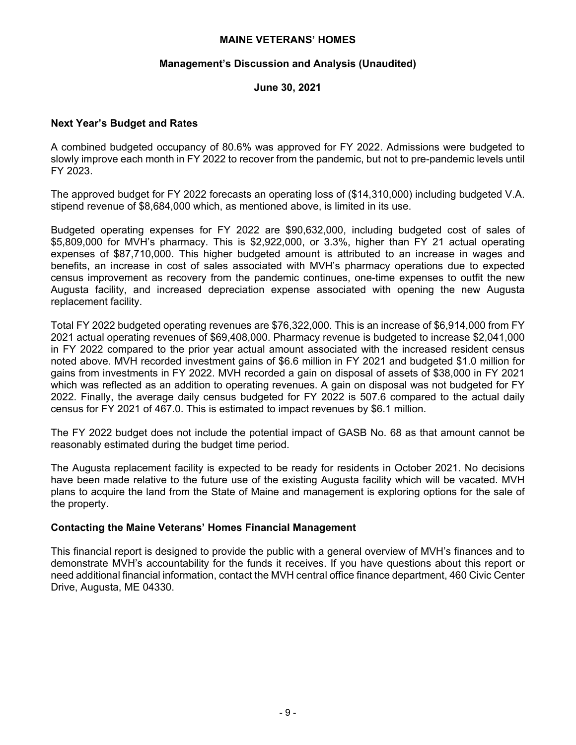#### **Management's Discussion and Analysis (Unaudited)**

# **June 30, 2021**

# **Next Year's Budget and Rates**

A combined budgeted occupancy of 80.6% was approved for FY 2022. Admissions were budgeted to slowly improve each month in FY 2022 to recover from the pandemic, but not to pre-pandemic levels until FY 2023.

The approved budget for FY 2022 forecasts an operating loss of (\$14,310,000) including budgeted V.A. stipend revenue of \$8,684,000 which, as mentioned above, is limited in its use.

Budgeted operating expenses for FY 2022 are \$90,632,000, including budgeted cost of sales of \$5,809,000 for MVH's pharmacy. This is \$2,922,000, or 3.3%, higher than FY 21 actual operating expenses of \$87,710,000. This higher budgeted amount is attributed to an increase in wages and benefits, an increase in cost of sales associated with MVH's pharmacy operations due to expected census improvement as recovery from the pandemic continues, one-time expenses to outfit the new Augusta facility, and increased depreciation expense associated with opening the new Augusta replacement facility.

Total FY 2022 budgeted operating revenues are \$76,322,000. This is an increase of \$6,914,000 from FY 2021 actual operating revenues of \$69,408,000. Pharmacy revenue is budgeted to increase \$2,041,000 in FY 2022 compared to the prior year actual amount associated with the increased resident census noted above. MVH recorded investment gains of \$6.6 million in FY 2021 and budgeted \$1.0 million for gains from investments in FY 2022. MVH recorded a gain on disposal of assets of \$38,000 in FY 2021 which was reflected as an addition to operating revenues. A gain on disposal was not budgeted for FY 2022. Finally, the average daily census budgeted for FY 2022 is 507.6 compared to the actual daily census for FY 2021 of 467.0. This is estimated to impact revenues by \$6.1 million.

The FY 2022 budget does not include the potential impact of GASB No. 68 as that amount cannot be reasonably estimated during the budget time period.

The Augusta replacement facility is expected to be ready for residents in October 2021. No decisions have been made relative to the future use of the existing Augusta facility which will be vacated. MVH plans to acquire the land from the State of Maine and management is exploring options for the sale of the property.

#### **Contacting the Maine Veterans' Homes Financial Management**

This financial report is designed to provide the public with a general overview of MVH's finances and to demonstrate MVH's accountability for the funds it receives. If you have questions about this report or need additional financial information, contact the MVH central office finance department, 460 Civic Center Drive, Augusta, ME 04330.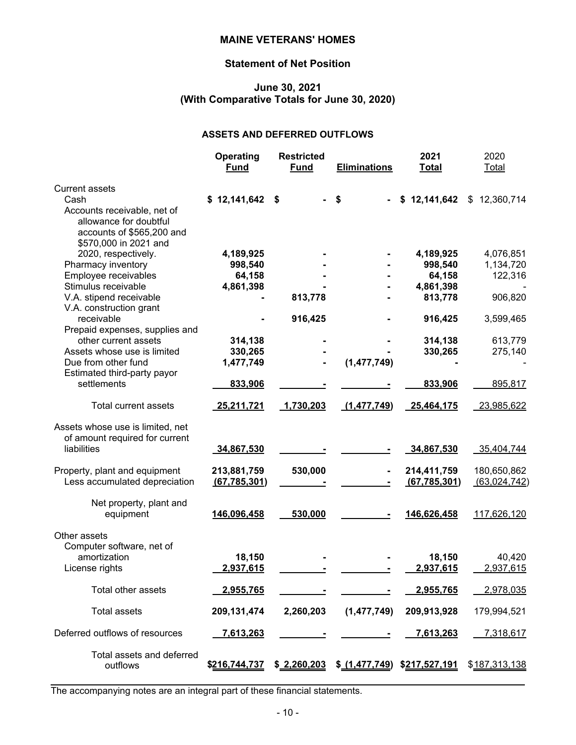# **Statement of Net Position**

# **June 30, 2021 (With Comparative Totals for June 30, 2020)**

#### **ASSETS AND DEFERRED OUTFLOWS**

|                                                                                                                                                           | Operating<br><b>Fund</b>                    | <b>Restricted</b><br><b>Fund</b> | <b>Eliminations</b>          | 2021<br><b>Total</b>                                   | 2020<br>Total                                |
|-----------------------------------------------------------------------------------------------------------------------------------------------------------|---------------------------------------------|----------------------------------|------------------------------|--------------------------------------------------------|----------------------------------------------|
| <b>Current assets</b><br>Cash<br>Accounts receivable, net of<br>allowance for doubtful<br>accounts of \$565,200 and<br>\$570,000 in 2021 and              | \$12,141,642                                | \$                               | \$                           | \$12,141,642                                           | \$12,360,714                                 |
| 2020, respectively.<br>Pharmacy inventory<br>Employee receivables<br>Stimulus receivable<br>V.A. stipend receivable<br>V.A. construction grant            | 4,189,925<br>998,540<br>64,158<br>4,861,398 | 813,778                          |                              | 4,189,925<br>998,540<br>64,158<br>4,861,398<br>813,778 | 4,076,851<br>1,134,720<br>122,316<br>906,820 |
| receivable<br>Prepaid expenses, supplies and<br>other current assets<br>Assets whose use is limited<br>Due from other fund<br>Estimated third-party payor | 314,138<br>330,265<br>1,477,749             | 916,425                          | (1, 477, 749)                | 916,425<br>314,138<br>330,265                          | 3,599,465<br>613,779<br>275,140              |
| settlements<br><b>Total current assets</b>                                                                                                                | 833,906<br>25,211,721                       | 1,730,203                        | (1, 477, 749)                | 833,906<br>25,464,175                                  | 895,817<br>23,985,622                        |
| Assets whose use is limited, net<br>of amount required for current<br>liabilities                                                                         | 34,867,530                                  |                                  |                              | 34,867,530                                             | 35,404,744                                   |
| Property, plant and equipment<br>Less accumulated depreciation                                                                                            | 213,881,759<br>(67, 785, 301)               | 530,000                          |                              | 214,411,759<br>(67, 785, 301)                          | 180,650,862<br>(63, 024, 742)                |
| Net property, plant and<br>equipment                                                                                                                      | 146,096,458                                 | 530,000                          |                              | 146,626,458                                            | 117,626,120                                  |
| Other assets<br>Computer software, net of<br>amortization<br>License rights                                                                               | 18,150<br>2,937,615                         |                                  |                              | 18,150<br>2,937,615                                    | 40,420<br>2,937,615                          |
| Total other assets                                                                                                                                        | 2,955,765                                   |                                  |                              | 2,955,765                                              | 2,978,035                                    |
| <b>Total assets</b>                                                                                                                                       | 209, 131, 474                               | 2,260,203                        | (1,477,749)                  | 209,913,928                                            | 179,994,521                                  |
| Deferred outflows of resources                                                                                                                            | 7,613,263                                   |                                  |                              | <u>7,613,263</u>                                       | 7,318,617                                    |
| Total assets and deferred<br>outflows                                                                                                                     | \$216,744,737                               | \$2,260,203                      | \$ (1,477,749) \$217,527,191 |                                                        | \$187,313,138                                |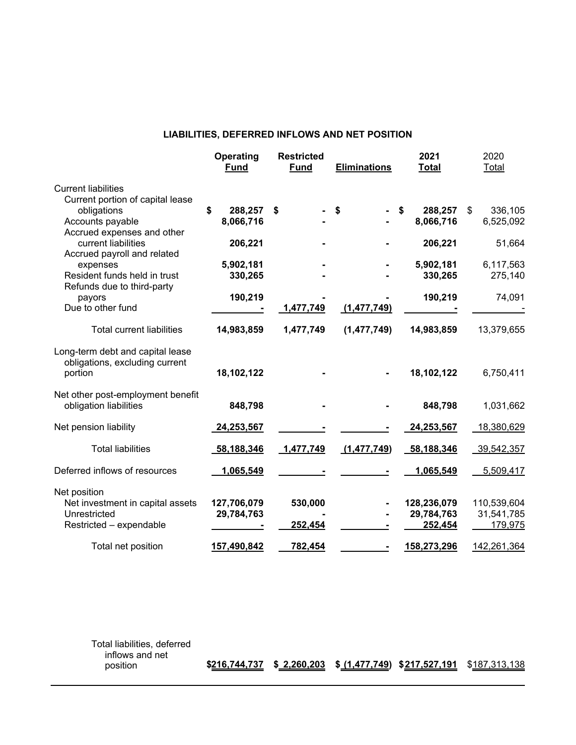#### **LIABILITIES, DEFERRED INFLOWS AND NET POSITION**

|                                                                                             | Operating<br><b>Fund</b>   | <b>Restricted</b><br><b>Fund</b> | <b>Eliminations</b> | 2021<br><b>Total</b>                 | 2020<br>Total                        |
|---------------------------------------------------------------------------------------------|----------------------------|----------------------------------|---------------------|--------------------------------------|--------------------------------------|
| <b>Current liabilities</b><br>Current portion of capital lease                              |                            |                                  |                     |                                      |                                      |
| obligations<br>Accounts payable                                                             | \$<br>288,257<br>8,066,716 | \$                               | \$                  | \$<br>288,257<br>8,066,716           | \$<br>336,105<br>6,525,092           |
| Accrued expenses and other<br>current liabilities<br>Accrued payroll and related            | 206,221                    |                                  |                     | 206,221                              | 51,664                               |
| expenses<br>Resident funds held in trust                                                    | 5,902,181<br>330,265       |                                  |                     | 5,902,181<br>330,265                 | 6,117,563<br>275,140                 |
| Refunds due to third-party<br>payors<br>Due to other fund                                   | 190,219                    | 1,477,749                        | (1, 477, 749)       | 190,219                              | 74,091                               |
| <b>Total current liabilities</b>                                                            | 14,983,859                 | 1,477,749                        | (1, 477, 749)       | 14,983,859                           | 13,379,655                           |
| Long-term debt and capital lease<br>obligations, excluding current<br>portion               | 18,102,122                 |                                  |                     | 18,102,122                           | 6,750,411                            |
| Net other post-employment benefit<br>obligation liabilities                                 | 848,798                    |                                  |                     | 848,798                              | 1,031,662                            |
| Net pension liability                                                                       | 24,253,567                 |                                  |                     | 24,253,567                           | 18,380,629                           |
| <b>Total liabilities</b>                                                                    | 58,188,346                 | 1,477,749                        | (1, 477, 749)       | 58,188,346                           | 39,542,357                           |
| Deferred inflows of resources                                                               | 1,065,549                  |                                  |                     | 1,065,549                            | 5,509,417                            |
| Net position<br>Net investment in capital assets<br>Unrestricted<br>Restricted - expendable | 127,706,079<br>29,784,763  | 530,000<br>252,454               |                     | 128,236,079<br>29,784,763<br>252,454 | 110,539,604<br>31,541,785<br>179,975 |
| Total net position                                                                          | 157,490,842                | 782,454                          |                     | 158,273,296                          | 142,261,364                          |

Total liabilities, deferred inflows and net

position **\$216,744,737 \$ 2,260,203 \$ (1,477,749) \$217,527,191** \$187,313,138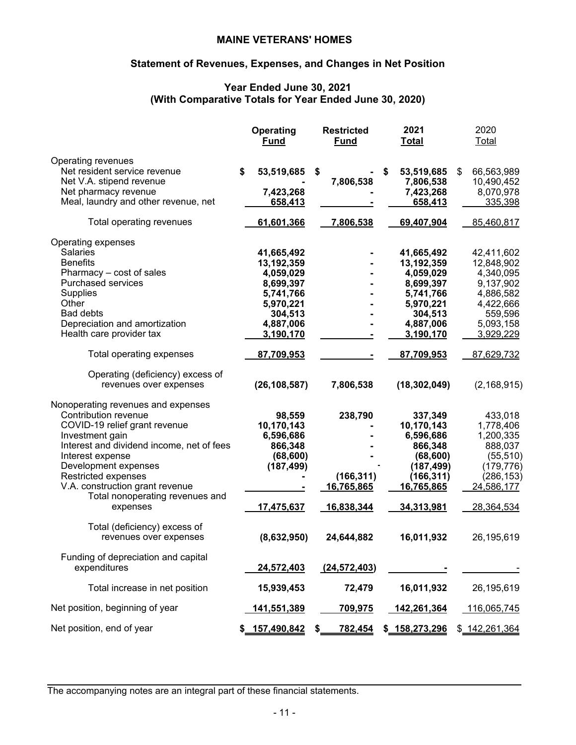# **Statement of Revenues, Expenses, and Changes in Net Position**

# **Year Ended June 30, 2021 (With Comparative Totals for Year Ended June 30, 2020)**

|                                                                                                                                                                                                                                                                                                      | <b>Operating</b><br><b>Fund</b>                                                                      | <b>Restricted</b><br><b>Fund</b>    | 2021<br><b>Total</b>                                                                                 | 2020<br>Total                                                                                        |
|------------------------------------------------------------------------------------------------------------------------------------------------------------------------------------------------------------------------------------------------------------------------------------------------------|------------------------------------------------------------------------------------------------------|-------------------------------------|------------------------------------------------------------------------------------------------------|------------------------------------------------------------------------------------------------------|
| Operating revenues<br>Net resident service revenue<br>Net V.A. stipend revenue<br>Net pharmacy revenue<br>Meal, laundry and other revenue, net                                                                                                                                                       | \$<br>53,519,685<br>7,423,268<br>658,413                                                             | \$<br>7,806,538                     | \$<br>53,519,685<br>7,806,538<br>7,423,268<br>658,413                                                | \$<br>66,563,989<br>10,490,452<br>8,070,978<br>335,398                                               |
| Total operating revenues                                                                                                                                                                                                                                                                             | 61,601,366                                                                                           | 7,806,538                           | 69,407,904                                                                                           | 85,460,817                                                                                           |
| Operating expenses<br><b>Salaries</b><br><b>Benefits</b><br>Pharmacy - cost of sales<br>Purchased services<br>Supplies<br>Other<br><b>Bad debts</b><br>Depreciation and amortization                                                                                                                 | 41,665,492<br>13,192,359<br>4,059,029<br>8,699,397<br>5,741,766<br>5,970,221<br>304,513<br>4,887,006 |                                     | 41,665,492<br>13,192,359<br>4,059,029<br>8,699,397<br>5,741,766<br>5,970,221<br>304,513<br>4,887,006 | 42,411,602<br>12,848,902<br>4,340,095<br>9,137,902<br>4,886,582<br>4,422,666<br>559,596<br>5,093,158 |
| Health care provider tax                                                                                                                                                                                                                                                                             | 3,190,170                                                                                            |                                     | 3,190,170                                                                                            | 3,929,229                                                                                            |
| Total operating expenses                                                                                                                                                                                                                                                                             | 87,709,953                                                                                           |                                     | 87,709,953                                                                                           | 87,629,732                                                                                           |
| Operating (deficiency) excess of<br>revenues over expenses                                                                                                                                                                                                                                           | (26, 108, 587)                                                                                       | 7,806,538                           | (18, 302, 049)                                                                                       | (2, 168, 915)                                                                                        |
| Nonoperating revenues and expenses<br>Contribution revenue<br>COVID-19 relief grant revenue<br>Investment gain<br>Interest and dividend income, net of fees<br>Interest expense<br>Development expenses<br>Restricted expenses<br>V.A. construction grant revenue<br>Total nonoperating revenues and | 98,559<br>10,170,143<br>6,596,686<br>866,348<br>(68, 600)<br>(187, 499)                              | 238,790<br>(166, 311)<br>16,765,865 | 337,349<br>10,170,143<br>6,596,686<br>866,348<br>(68, 600)<br>(187, 499)<br>(166, 311)<br>16,765,865 | 433,018<br>1,778,406<br>1,200,335<br>888,037<br>(55, 510)<br>(179, 776)<br>(286, 153)<br>24,586,177  |
| expenses<br>Total (deficiency) excess of                                                                                                                                                                                                                                                             | 17,475,637                                                                                           | 16,838,344                          | <u>34,313,981</u>                                                                                    | 28,364,534                                                                                           |
| revenues over expenses                                                                                                                                                                                                                                                                               | (8,632,950)                                                                                          | 24,644,882                          | 16,011,932                                                                                           | 26,195,619                                                                                           |
| Funding of depreciation and capital<br>expenditures                                                                                                                                                                                                                                                  | 24,572,403                                                                                           | (24, 572, 403)                      |                                                                                                      |                                                                                                      |
| Total increase in net position                                                                                                                                                                                                                                                                       | 15,939,453                                                                                           | 72,479                              | 16,011,932                                                                                           | 26,195,619                                                                                           |
| Net position, beginning of year                                                                                                                                                                                                                                                                      | <u>141,551,389</u>                                                                                   | <u>709,975</u>                      | <u>142,261,364</u>                                                                                   | 116,065,745                                                                                          |
| Net position, end of year                                                                                                                                                                                                                                                                            | 157,490,842                                                                                          | \$<br>782,454                       | \$<br>158,273,296                                                                                    | \$ 142,261,364                                                                                       |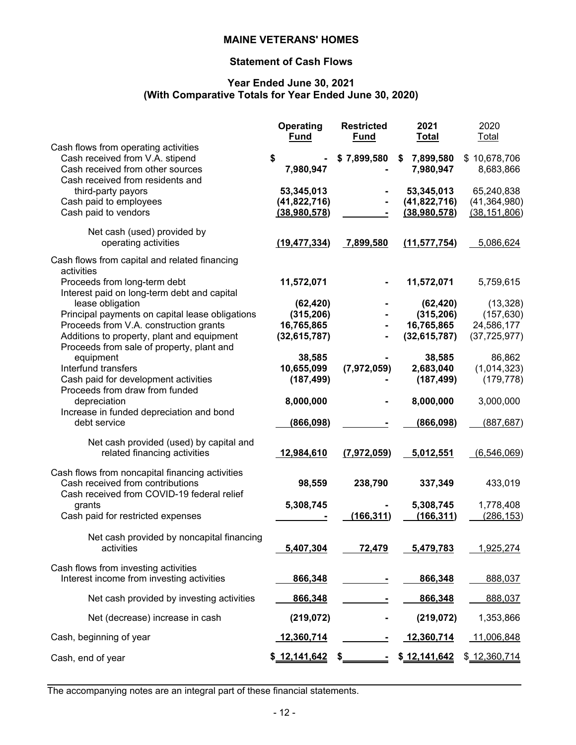# **Statement of Cash Flows**

#### **Year Ended June 30, 2021 (With Comparative Totals for Year Ended June 30, 2020)**

|                                                                                                                                                                                                          | Operating<br><b>Fund</b>                                | <b>Restricted</b><br><b>Fund</b> | 2021<br><b>Total</b>                                    | 2020<br>Total                                           |
|----------------------------------------------------------------------------------------------------------------------------------------------------------------------------------------------------------|---------------------------------------------------------|----------------------------------|---------------------------------------------------------|---------------------------------------------------------|
| Cash flows from operating activities<br>Cash received from V.A. stipend<br>Cash received from other sources<br>Cash received from residents and                                                          | \$<br>7,980,947                                         | \$7,899,580                      | 7,899,580<br>\$<br>7,980,947                            | \$10,678,706<br>8,683,866                               |
| third-party payors<br>Cash paid to employees<br>Cash paid to vendors                                                                                                                                     | 53,345,013<br>(41, 822, 716)<br>(38,980,578)            |                                  | 53,345,013<br>(41,822,716)<br>(38,980,578)              | 65,240,838<br>(41, 364, 980)<br>(38, 151, 806)          |
| Net cash (used) provided by<br>operating activities                                                                                                                                                      | (19, 477, 334)                                          | 7,899,580                        | (11, 577, 754)                                          | 5,086,624                                               |
| Cash flows from capital and related financing<br>activities                                                                                                                                              |                                                         |                                  |                                                         |                                                         |
| Proceeds from long-term debt<br>Interest paid on long-term debt and capital                                                                                                                              | 11,572,071                                              |                                  | 11,572,071                                              | 5,759,615                                               |
| lease obligation<br>Principal payments on capital lease obligations<br>Proceeds from V.A. construction grants<br>Additions to property, plant and equipment<br>Proceeds from sale of property, plant and | (62, 420)<br>(315, 206)<br>16,765,865<br>(32, 615, 787) |                                  | (62, 420)<br>(315, 206)<br>16,765,865<br>(32, 615, 787) | (13, 328)<br>(157, 630)<br>24,586,177<br>(37, 725, 977) |
| equipment<br>Interfund transfers<br>Cash paid for development activities<br>Proceeds from draw from funded                                                                                               | 38,585<br>10,655,099<br>(187, 499)                      | (7,972,059)                      | 38,585<br>2,683,040<br>(187, 499)                       | 86,862<br>(1,014,323)<br>(179, 778)                     |
| depreciation                                                                                                                                                                                             | 8,000,000                                               |                                  | 8,000,000                                               | 3,000,000                                               |
| Increase in funded depreciation and bond<br>debt service                                                                                                                                                 | (866,098)                                               |                                  | (866,098)                                               | (887, 687)                                              |
| Net cash provided (used) by capital and<br>related financing activities                                                                                                                                  | 12,984,610                                              | (7,972,059)                      | 5,012,551                                               | (6,546,069)                                             |
| Cash flows from noncapital financing activities<br>Cash received from contributions<br>Cash received from COVID-19 federal relief                                                                        | 98,559                                                  | 238,790                          | 337,349                                                 | 433,019                                                 |
| grants<br>Cash paid for restricted expenses                                                                                                                                                              | 5,308,745                                               | (166, 311)                       | 5,308,745<br>(166, 311)                                 | 1,778,408<br>(286, 153)                                 |
| Net cash provided by noncapital financing<br>activities                                                                                                                                                  | 5,407,304                                               | 72,479                           | 5,479,783                                               | 1,925,274                                               |
| Cash flows from investing activities<br>Interest income from investing activities                                                                                                                        | 866,348                                                 |                                  | 866,348                                                 | 888,037                                                 |
| Net cash provided by investing activities                                                                                                                                                                | 866,348                                                 |                                  | 866,348                                                 | 888,037                                                 |
| Net (decrease) increase in cash                                                                                                                                                                          | (219, 072)                                              |                                  | (219, 072)                                              | 1,353,866                                               |
| Cash, beginning of year                                                                                                                                                                                  | 12,360,714                                              |                                  | 12,360,714                                              | 11,006,848                                              |
| Cash, end of year                                                                                                                                                                                        | \$ 12,141,642                                           |                                  | \$12,141,642                                            | \$ 12,360,714                                           |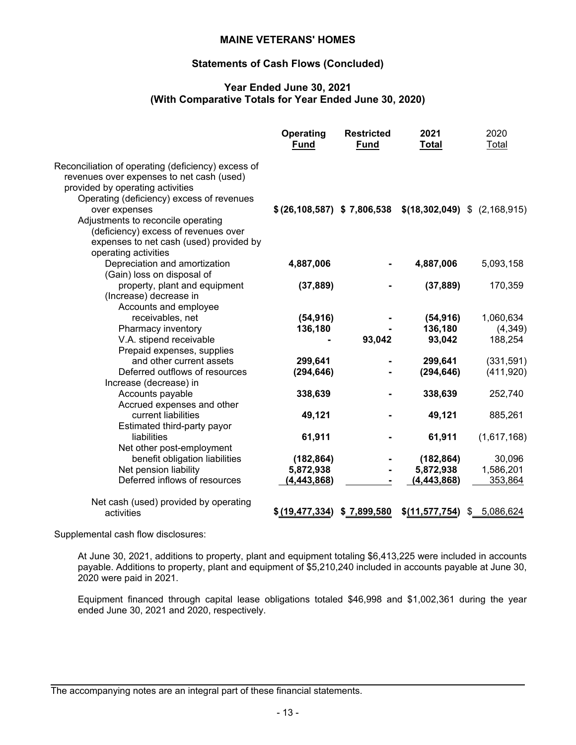#### **Statements of Cash Flows (Concluded)**

#### **Year Ended June 30, 2021 (With Comparative Totals for Year Ended June 30, 2020)**

|                                                                                                                                                                                  | Operating<br><b>Fund</b>    | <b>Restricted</b><br><b>Fund</b> | 2021<br><b>Total</b>                                            | 2020<br>Total |
|----------------------------------------------------------------------------------------------------------------------------------------------------------------------------------|-----------------------------|----------------------------------|-----------------------------------------------------------------|---------------|
| Reconciliation of operating (deficiency) excess of<br>revenues over expenses to net cash (used)<br>provided by operating activities<br>Operating (deficiency) excess of revenues |                             |                                  |                                                                 |               |
| over expenses<br>Adjustments to reconcile operating<br>(deficiency) excess of revenues over<br>expenses to net cash (used) provided by<br>operating activities                   |                             |                                  | $$$ (26,108,587) $$$ 7,806,538 $$$ (18,302,049) $$$ (2,168,915) |               |
| Depreciation and amortization<br>(Gain) loss on disposal of                                                                                                                      | 4,887,006                   |                                  | 4,887,006                                                       | 5,093,158     |
| property, plant and equipment<br>(Increase) decrease in<br>Accounts and employee                                                                                                 | (37, 889)                   |                                  | (37, 889)                                                       | 170,359       |
| receivables, net                                                                                                                                                                 | (54, 916)                   |                                  | (54, 916)                                                       | 1,060,634     |
| Pharmacy inventory                                                                                                                                                               | 136,180                     |                                  | 136,180                                                         | (4,349)       |
| V.A. stipend receivable<br>Prepaid expenses, supplies                                                                                                                            |                             | 93,042                           | 93,042                                                          | 188,254       |
| and other current assets                                                                                                                                                         | 299,641                     |                                  | 299,641                                                         | (331, 591)    |
| Deferred outflows of resources<br>Increase (decrease) in                                                                                                                         | (294, 646)                  |                                  | (294, 646)                                                      | (411, 920)    |
| Accounts payable<br>Accrued expenses and other                                                                                                                                   | 338,639                     |                                  | 338,639                                                         | 252,740       |
| current liabilities<br>Estimated third-party payor                                                                                                                               | 49,121                      |                                  | 49,121                                                          | 885,261       |
| liabilities<br>Net other post-employment                                                                                                                                         | 61,911                      |                                  | 61,911                                                          | (1,617,168)   |
| benefit obligation liabilities                                                                                                                                                   | (182, 864)                  |                                  | (182, 864)                                                      | 30,096        |
| Net pension liability                                                                                                                                                            | 5,872,938                   |                                  | 5,872,938                                                       | 1,586,201     |
| Deferred inflows of resources                                                                                                                                                    | (4, 443, 868)               |                                  | (4, 443, 868)                                                   | 353,864       |
| Net cash (used) provided by operating                                                                                                                                            |                             |                                  |                                                                 |               |
| activities                                                                                                                                                                       | \$ (19,477,334) \$7,899,580 |                                  | \$ <u>(11,577,754</u> )                                         | \$ 5,086,624  |

Supplemental cash flow disclosures:

At June 30, 2021, additions to property, plant and equipment totaling \$6,413,225 were included in accounts payable. Additions to property, plant and equipment of \$5,210,240 included in accounts payable at June 30, 2020 were paid in 2021.

Equipment financed through capital lease obligations totaled \$46,998 and \$1,002,361 during the year ended June 30, 2021 and 2020, respectively.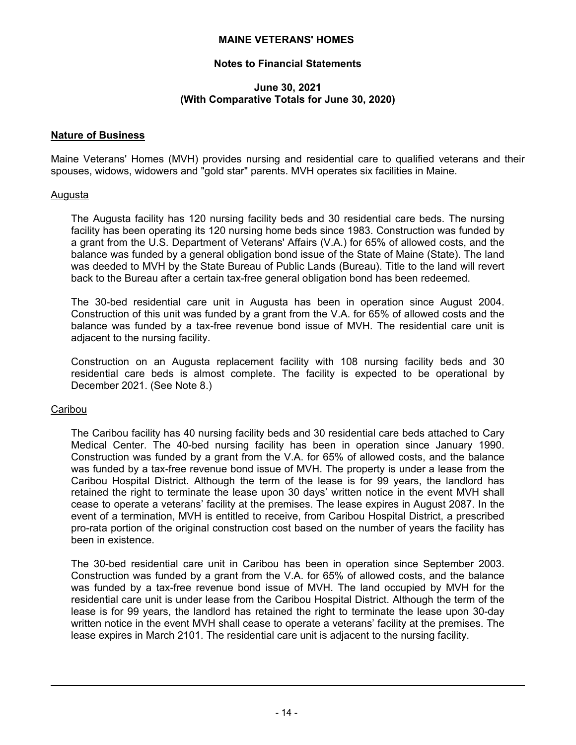# **Notes to Financial Statements**

#### **June 30, 2021 (With Comparative Totals for June 30, 2020)**

#### **Nature of Business**

Maine Veterans' Homes (MVH) provides nursing and residential care to qualified veterans and their spouses, widows, widowers and "gold star" parents. MVH operates six facilities in Maine.

#### Augusta

The Augusta facility has 120 nursing facility beds and 30 residential care beds. The nursing facility has been operating its 120 nursing home beds since 1983. Construction was funded by a grant from the U.S. Department of Veterans' Affairs (V.A.) for 65% of allowed costs, and the balance was funded by a general obligation bond issue of the State of Maine (State). The land was deeded to MVH by the State Bureau of Public Lands (Bureau). Title to the land will revert back to the Bureau after a certain tax-free general obligation bond has been redeemed.

The 30-bed residential care unit in Augusta has been in operation since August 2004. Construction of this unit was funded by a grant from the V.A. for 65% of allowed costs and the balance was funded by a tax-free revenue bond issue of MVH. The residential care unit is adjacent to the nursing facility.

Construction on an Augusta replacement facility with 108 nursing facility beds and 30 residential care beds is almost complete. The facility is expected to be operational by December 2021. (See Note 8.)

# **Caribou**

The Caribou facility has 40 nursing facility beds and 30 residential care beds attached to Cary Medical Center. The 40-bed nursing facility has been in operation since January 1990. Construction was funded by a grant from the V.A. for 65% of allowed costs, and the balance was funded by a tax-free revenue bond issue of MVH. The property is under a lease from the Caribou Hospital District. Although the term of the lease is for 99 years, the landlord has retained the right to terminate the lease upon 30 days' written notice in the event MVH shall cease to operate a veterans' facility at the premises. The lease expires in August 2087. In the event of a termination, MVH is entitled to receive, from Caribou Hospital District, a prescribed pro-rata portion of the original construction cost based on the number of years the facility has been in existence.

The 30-bed residential care unit in Caribou has been in operation since September 2003. Construction was funded by a grant from the V.A. for 65% of allowed costs, and the balance was funded by a tax-free revenue bond issue of MVH. The land occupied by MVH for the residential care unit is under lease from the Caribou Hospital District. Although the term of the lease is for 99 years, the landlord has retained the right to terminate the lease upon 30-day written notice in the event MVH shall cease to operate a veterans' facility at the premises. The lease expires in March 2101. The residential care unit is adjacent to the nursing facility.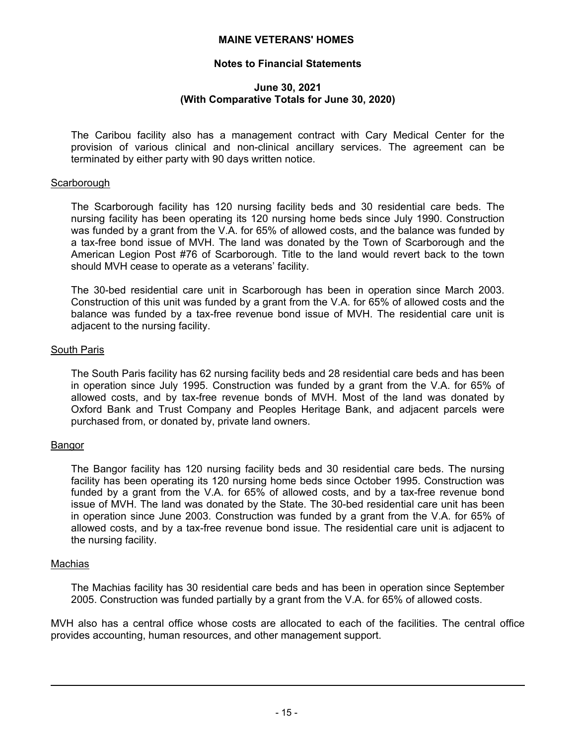## **Notes to Financial Statements**

#### **June 30, 2021 (With Comparative Totals for June 30, 2020)**

The Caribou facility also has a management contract with Cary Medical Center for the provision of various clinical and non-clinical ancillary services. The agreement can be terminated by either party with 90 days written notice.

#### **Scarborough**

The Scarborough facility has 120 nursing facility beds and 30 residential care beds. The nursing facility has been operating its 120 nursing home beds since July 1990. Construction was funded by a grant from the V.A. for 65% of allowed costs, and the balance was funded by a tax-free bond issue of MVH. The land was donated by the Town of Scarborough and the American Legion Post #76 of Scarborough. Title to the land would revert back to the town should MVH cease to operate as a veterans' facility.

The 30-bed residential care unit in Scarborough has been in operation since March 2003. Construction of this unit was funded by a grant from the V.A. for 65% of allowed costs and the balance was funded by a tax-free revenue bond issue of MVH. The residential care unit is adjacent to the nursing facility.

#### South Paris

The South Paris facility has 62 nursing facility beds and 28 residential care beds and has been in operation since July 1995. Construction was funded by a grant from the V.A. for 65% of allowed costs, and by tax-free revenue bonds of MVH. Most of the land was donated by Oxford Bank and Trust Company and Peoples Heritage Bank, and adjacent parcels were purchased from, or donated by, private land owners.

#### Bangor

The Bangor facility has 120 nursing facility beds and 30 residential care beds. The nursing facility has been operating its 120 nursing home beds since October 1995. Construction was funded by a grant from the V.A. for 65% of allowed costs, and by a tax-free revenue bond issue of MVH. The land was donated by the State. The 30-bed residential care unit has been in operation since June 2003. Construction was funded by a grant from the V.A. for 65% of allowed costs, and by a tax-free revenue bond issue. The residential care unit is adjacent to the nursing facility.

#### Machias

The Machias facility has 30 residential care beds and has been in operation since September 2005. Construction was funded partially by a grant from the V.A. for 65% of allowed costs.

MVH also has a central office whose costs are allocated to each of the facilities. The central office provides accounting, human resources, and other management support.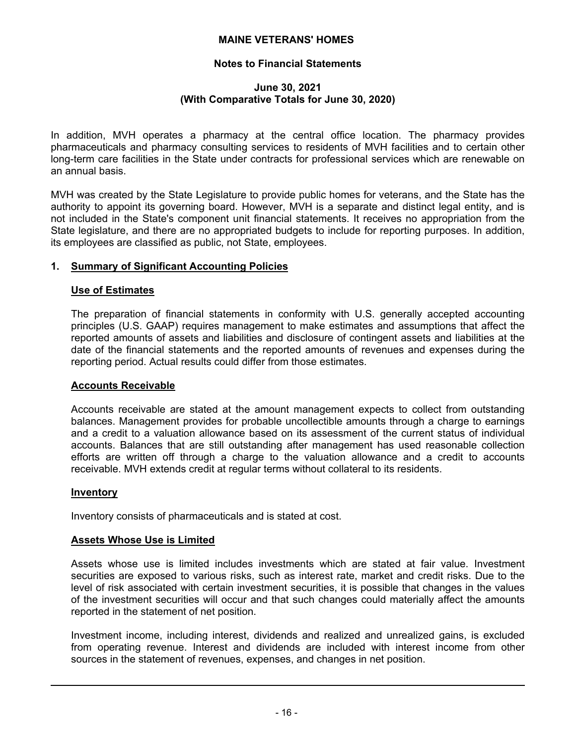# **Notes to Financial Statements**

#### **June 30, 2021 (With Comparative Totals for June 30, 2020)**

In addition, MVH operates a pharmacy at the central office location. The pharmacy provides pharmaceuticals and pharmacy consulting services to residents of MVH facilities and to certain other long-term care facilities in the State under contracts for professional services which are renewable on an annual basis.

MVH was created by the State Legislature to provide public homes for veterans, and the State has the authority to appoint its governing board. However, MVH is a separate and distinct legal entity, and is not included in the State's component unit financial statements. It receives no appropriation from the State legislature, and there are no appropriated budgets to include for reporting purposes. In addition, its employees are classified as public, not State, employees.

# **1. Summary of Significant Accounting Policies**

#### **Use of Estimates**

The preparation of financial statements in conformity with U.S. generally accepted accounting principles (U.S. GAAP) requires management to make estimates and assumptions that affect the reported amounts of assets and liabilities and disclosure of contingent assets and liabilities at the date of the financial statements and the reported amounts of revenues and expenses during the reporting period. Actual results could differ from those estimates.

#### **Accounts Receivable**

Accounts receivable are stated at the amount management expects to collect from outstanding balances. Management provides for probable uncollectible amounts through a charge to earnings and a credit to a valuation allowance based on its assessment of the current status of individual accounts. Balances that are still outstanding after management has used reasonable collection efforts are written off through a charge to the valuation allowance and a credit to accounts receivable. MVH extends credit at regular terms without collateral to its residents.

# **Inventory**

Inventory consists of pharmaceuticals and is stated at cost.

# **Assets Whose Use is Limited**

Assets whose use is limited includes investments which are stated at fair value. Investment securities are exposed to various risks, such as interest rate, market and credit risks. Due to the level of risk associated with certain investment securities, it is possible that changes in the values of the investment securities will occur and that such changes could materially affect the amounts reported in the statement of net position.

Investment income, including interest, dividends and realized and unrealized gains, is excluded from operating revenue. Interest and dividends are included with interest income from other sources in the statement of revenues, expenses, and changes in net position.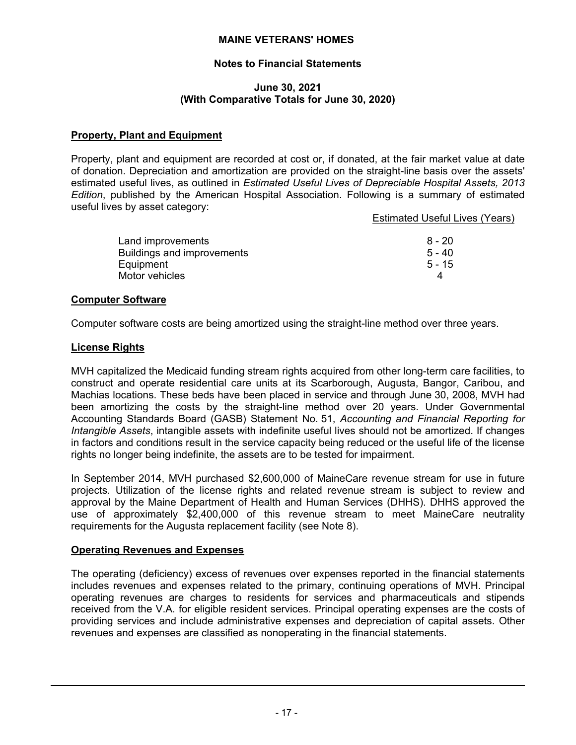# **Notes to Financial Statements**

#### **June 30, 2021 (With Comparative Totals for June 30, 2020)**

# **Property, Plant and Equipment**

Property, plant and equipment are recorded at cost or, if donated, at the fair market value at date of donation. Depreciation and amortization are provided on the straight-line basis over the assets' estimated useful lives, as outlined in *Estimated Useful Lives of Depreciable Hospital Assets, 2013 Edition*, published by the American Hospital Association. Following is a summary of estimated useful lives by asset category:

Estimated Useful Lives (Years)

| Land improvements          | 8 - 20   |
|----------------------------|----------|
| Buildings and improvements | $5 - 40$ |
| Equipment                  | $5 - 15$ |
| Motor vehicles             |          |

#### **Computer Software**

Computer software costs are being amortized using the straight-line method over three years.

#### **License Rights**

MVH capitalized the Medicaid funding stream rights acquired from other long-term care facilities, to construct and operate residential care units at its Scarborough, Augusta, Bangor, Caribou, and Machias locations. These beds have been placed in service and through June 30, 2008, MVH had been amortizing the costs by the straight-line method over 20 years. Under Governmental Accounting Standards Board (GASB) Statement No. 51, *Accounting and Financial Reporting for Intangible Assets*, intangible assets with indefinite useful lives should not be amortized. If changes in factors and conditions result in the service capacity being reduced or the useful life of the license rights no longer being indefinite, the assets are to be tested for impairment.

In September 2014, MVH purchased \$2,600,000 of MaineCare revenue stream for use in future projects. Utilization of the license rights and related revenue stream is subject to review and approval by the Maine Department of Health and Human Services (DHHS). DHHS approved the use of approximately \$2,400,000 of this revenue stream to meet MaineCare neutrality requirements for the Augusta replacement facility (see Note 8).

# **Operating Revenues and Expenses**

The operating (deficiency) excess of revenues over expenses reported in the financial statements includes revenues and expenses related to the primary, continuing operations of MVH. Principal operating revenues are charges to residents for services and pharmaceuticals and stipends received from the V.A. for eligible resident services. Principal operating expenses are the costs of providing services and include administrative expenses and depreciation of capital assets. Other revenues and expenses are classified as nonoperating in the financial statements.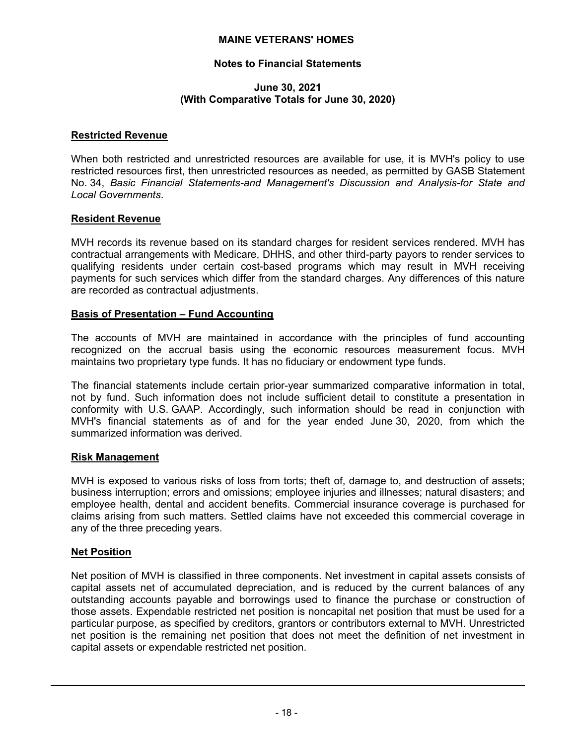# **Notes to Financial Statements**

#### **June 30, 2021 (With Comparative Totals for June 30, 2020)**

#### **Restricted Revenue**

When both restricted and unrestricted resources are available for use, it is MVH's policy to use restricted resources first, then unrestricted resources as needed, as permitted by GASB Statement No. 34, *Basic Financial Statements-and Management's Discussion and Analysis-for State and Local Governments*.

#### **Resident Revenue**

MVH records its revenue based on its standard charges for resident services rendered. MVH has contractual arrangements with Medicare, DHHS, and other third-party payors to render services to qualifying residents under certain cost-based programs which may result in MVH receiving payments for such services which differ from the standard charges. Any differences of this nature are recorded as contractual adjustments.

#### **Basis of Presentation – Fund Accounting**

The accounts of MVH are maintained in accordance with the principles of fund accounting recognized on the accrual basis using the economic resources measurement focus. MVH maintains two proprietary type funds. It has no fiduciary or endowment type funds.

The financial statements include certain prior-year summarized comparative information in total, not by fund. Such information does not include sufficient detail to constitute a presentation in conformity with U.S. GAAP. Accordingly, such information should be read in conjunction with MVH's financial statements as of and for the year ended June 30, 2020, from which the summarized information was derived.

#### **Risk Management**

MVH is exposed to various risks of loss from torts; theft of, damage to, and destruction of assets; business interruption; errors and omissions; employee injuries and illnesses; natural disasters; and employee health, dental and accident benefits. Commercial insurance coverage is purchased for claims arising from such matters. Settled claims have not exceeded this commercial coverage in any of the three preceding years.

#### **Net Position**

Net position of MVH is classified in three components. Net investment in capital assets consists of capital assets net of accumulated depreciation, and is reduced by the current balances of any outstanding accounts payable and borrowings used to finance the purchase or construction of those assets. Expendable restricted net position is noncapital net position that must be used for a particular purpose, as specified by creditors, grantors or contributors external to MVH. Unrestricted net position is the remaining net position that does not meet the definition of net investment in capital assets or expendable restricted net position.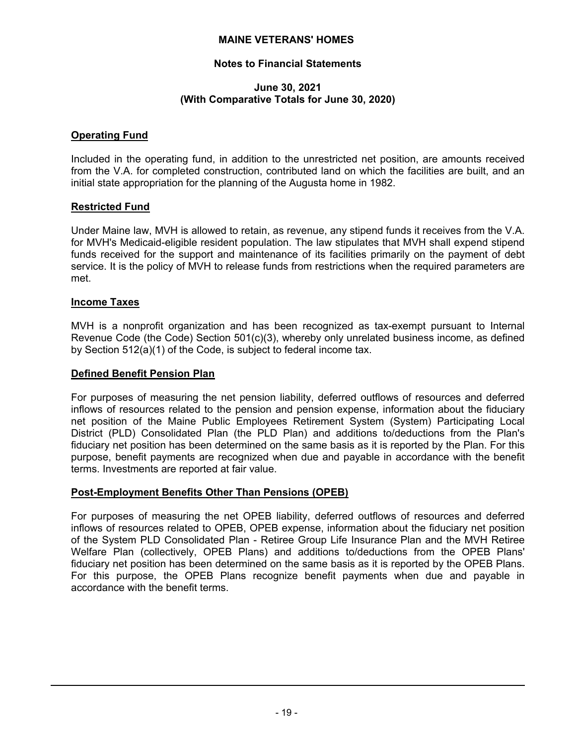# **Notes to Financial Statements**

#### **June 30, 2021 (With Comparative Totals for June 30, 2020)**

#### **Operating Fund**

Included in the operating fund, in addition to the unrestricted net position, are amounts received from the V.A. for completed construction, contributed land on which the facilities are built, and an initial state appropriation for the planning of the Augusta home in 1982.

#### **Restricted Fund**

Under Maine law, MVH is allowed to retain, as revenue, any stipend funds it receives from the V.A. for MVH's Medicaid-eligible resident population. The law stipulates that MVH shall expend stipend funds received for the support and maintenance of its facilities primarily on the payment of debt service. It is the policy of MVH to release funds from restrictions when the required parameters are met.

#### **Income Taxes**

MVH is a nonprofit organization and has been recognized as tax-exempt pursuant to Internal Revenue Code (the Code) Section 501(c)(3), whereby only unrelated business income, as defined by Section 512(a)(1) of the Code, is subject to federal income tax.

#### **Defined Benefit Pension Plan**

For purposes of measuring the net pension liability, deferred outflows of resources and deferred inflows of resources related to the pension and pension expense, information about the fiduciary net position of the Maine Public Employees Retirement System (System) Participating Local District (PLD) Consolidated Plan (the PLD Plan) and additions to/deductions from the Plan's fiduciary net position has been determined on the same basis as it is reported by the Plan. For this purpose, benefit payments are recognized when due and payable in accordance with the benefit terms. Investments are reported at fair value.

# **Post-Employment Benefits Other Than Pensions (OPEB)**

For purposes of measuring the net OPEB liability, deferred outflows of resources and deferred inflows of resources related to OPEB, OPEB expense, information about the fiduciary net position of the System PLD Consolidated Plan - Retiree Group Life Insurance Plan and the MVH Retiree Welfare Plan (collectively, OPEB Plans) and additions to/deductions from the OPEB Plans' fiduciary net position has been determined on the same basis as it is reported by the OPEB Plans. For this purpose, the OPEB Plans recognize benefit payments when due and payable in accordance with the benefit terms.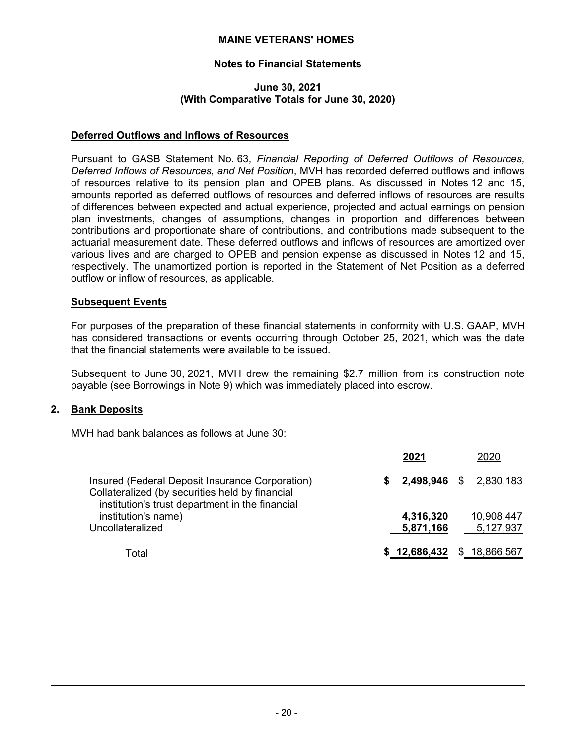# **Notes to Financial Statements**

#### **June 30, 2021 (With Comparative Totals for June 30, 2020)**

# **Deferred Outflows and Inflows of Resources**

Pursuant to GASB Statement No. 63, *Financial Reporting of Deferred Outflows of Resources, Deferred Inflows of Resources, and Net Position*, MVH has recorded deferred outflows and inflows of resources relative to its pension plan and OPEB plans. As discussed in Notes 12 and 15, amounts reported as deferred outflows of resources and deferred inflows of resources are results of differences between expected and actual experience, projected and actual earnings on pension plan investments, changes of assumptions, changes in proportion and differences between contributions and proportionate share of contributions, and contributions made subsequent to the actuarial measurement date. These deferred outflows and inflows of resources are amortized over various lives and are charged to OPEB and pension expense as discussed in Notes 12 and 15, respectively. The unamortized portion is reported in the Statement of Net Position as a deferred outflow or inflow of resources, as applicable.

#### **Subsequent Events**

For purposes of the preparation of these financial statements in conformity with U.S. GAAP, MVH has considered transactions or events occurring through October 25, 2021, which was the date that the financial statements were available to be issued.

Subsequent to June 30, 2021, MVH drew the remaining \$2.7 million from its construction note payable (see Borrowings in Note 9) which was immediately placed into escrow.

# **2. Bank Deposits**

MVH had bank balances as follows at June 30:

|                                                                                                    |    | 2021                       | 2020                          |
|----------------------------------------------------------------------------------------------------|----|----------------------------|-------------------------------|
| Insured (Federal Deposit Insurance Corporation)<br>Collateralized (by securities held by financial | s. |                            | <b>2,498,946</b> \$ 2,830,183 |
| institution's trust department in the financial<br>institution's name)<br>Uncollateralized         |    | 4,316,320<br>5,871,166     | 10,908,447<br>5,127,937       |
| Total                                                                                              |    | $$12,686,432 \$18,866,567$ |                               |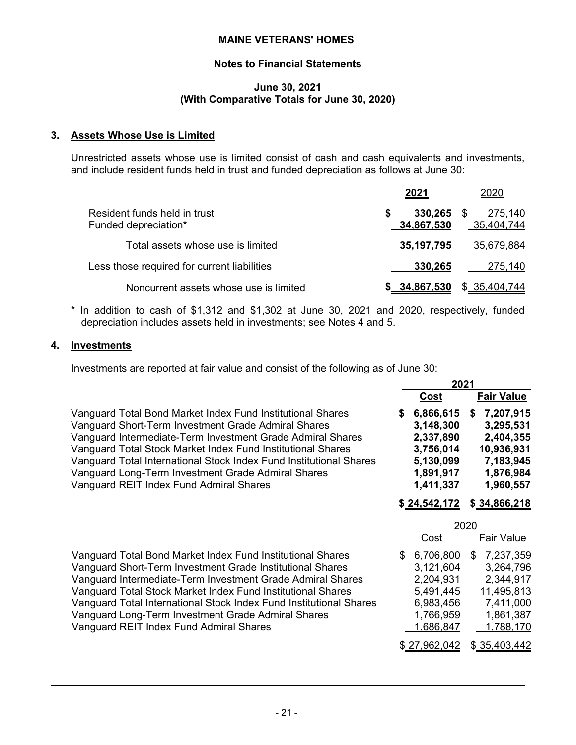# **Notes to Financial Statements**

#### **June 30, 2021 (With Comparative Totals for June 30, 2020)**

# **3. Assets Whose Use is Limited**

Unrestricted assets whose use is limited consist of cash and cash equivalents and investments, and include resident funds held in trust and funded depreciation as follows at June 30:

|                                                      | 2021                       | 2020                  |
|------------------------------------------------------|----------------------------|-----------------------|
| Resident funds held in trust<br>Funded depreciation* | $330,265$ \$<br>34,867,530 | 275,140<br>35,404,744 |
| Total assets whose use is limited                    | 35, 197, 795               | 35,679,884            |
| Less those required for current liabilities          | 330,265                    | 275,140               |
| Noncurrent assets whose use is limited               | \$34,867,530               | \$35,404,744          |

\* In addition to cash of \$1,312 and \$1,302 at June 30, 2021 and 2020, respectively, funded depreciation includes assets held in investments; see Notes 4 and 5.

#### **4. Investments**

Investments are reported at fair value and consist of the following as of June 30:

|                                                                                                                                                                                                                                                                                                                                                                                                                             |     | 2021                                                                                    |                                                                                                |
|-----------------------------------------------------------------------------------------------------------------------------------------------------------------------------------------------------------------------------------------------------------------------------------------------------------------------------------------------------------------------------------------------------------------------------|-----|-----------------------------------------------------------------------------------------|------------------------------------------------------------------------------------------------|
|                                                                                                                                                                                                                                                                                                                                                                                                                             |     | Cost                                                                                    | <b>Fair Value</b>                                                                              |
| Vanguard Total Bond Market Index Fund Institutional Shares<br>Vanguard Short-Term Investment Grade Admiral Shares<br>Vanguard Intermediate-Term Investment Grade Admiral Shares<br>Vanguard Total Stock Market Index Fund Institutional Shares<br>Vanguard Total International Stock Index Fund Institutional Shares<br>Vanguard Long-Term Investment Grade Admiral Shares<br>Vanguard REIT Index Fund Admiral Shares       | S   | 6,866,615<br>3,148,300<br>2,337,890<br>3,756,014<br>5,130,099<br>1,891,917<br>1,411,337 | 7,207,915<br>S<br>3,295,531<br>2,404,355<br>10,936,931<br>7,183,945<br>1,876,984<br>1,960,557  |
|                                                                                                                                                                                                                                                                                                                                                                                                                             |     | \$24,542,172                                                                            | \$34,866,218                                                                                   |
|                                                                                                                                                                                                                                                                                                                                                                                                                             |     |                                                                                         |                                                                                                |
|                                                                                                                                                                                                                                                                                                                                                                                                                             |     |                                                                                         |                                                                                                |
|                                                                                                                                                                                                                                                                                                                                                                                                                             |     | <u>Cost</u>                                                                             | 2020<br>Fair Value                                                                             |
| Vanguard Total Bond Market Index Fund Institutional Shares<br>Vanguard Short-Term Investment Grade Institutional Shares<br>Vanguard Intermediate-Term Investment Grade Admiral Shares<br>Vanguard Total Stock Market Index Fund Institutional Shares<br>Vanguard Total International Stock Index Fund Institutional Shares<br>Vanguard Long-Term Investment Grade Admiral Shares<br>Vanguard REIT Index Fund Admiral Shares | \$. | 6,706,800<br>3,121,604<br>2,204,931<br>5,491,445<br>6,983,456<br>1,766,959<br>1,686,847 | 7,237,359<br>\$<br>3,264,796<br>2,344,917<br>11,495,813<br>7,411,000<br>1,861,387<br>1,788,170 |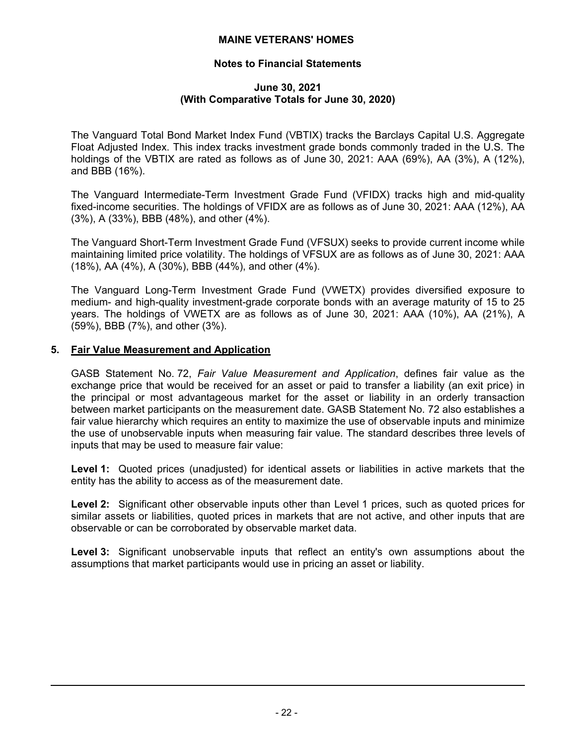# **Notes to Financial Statements**

#### **June 30, 2021 (With Comparative Totals for June 30, 2020)**

The Vanguard Total Bond Market Index Fund (VBTIX) tracks the Barclays Capital U.S. Aggregate Float Adjusted Index. This index tracks investment grade bonds commonly traded in the U.S. The holdings of the VBTIX are rated as follows as of June 30, 2021: AAA (69%), AA (3%), A (12%), and BBB (16%).

The Vanguard Intermediate-Term Investment Grade Fund (VFIDX) tracks high and mid-quality fixed-income securities. The holdings of VFIDX are as follows as of June 30, 2021: AAA (12%), AA (3%), A (33%), BBB (48%), and other (4%).

The Vanguard Short-Term Investment Grade Fund (VFSUX) seeks to provide current income while maintaining limited price volatility. The holdings of VFSUX are as follows as of June 30, 2021: AAA (18%), AA (4%), A (30%), BBB (44%), and other (4%).

The Vanguard Long-Term Investment Grade Fund (VWETX) provides diversified exposure to medium- and high-quality investment-grade corporate bonds with an average maturity of 15 to 25 years. The holdings of VWETX are as follows as of June 30, 2021: AAA (10%), AA (21%), A (59%), BBB (7%), and other (3%).

#### **5. Fair Value Measurement and Application**

GASB Statement No. 72, *Fair Value Measurement and Application*, defines fair value as the exchange price that would be received for an asset or paid to transfer a liability (an exit price) in the principal or most advantageous market for the asset or liability in an orderly transaction between market participants on the measurement date. GASB Statement No. 72 also establishes a fair value hierarchy which requires an entity to maximize the use of observable inputs and minimize the use of unobservable inputs when measuring fair value. The standard describes three levels of inputs that may be used to measure fair value:

**Level 1:** Quoted prices (unadjusted) for identical assets or liabilities in active markets that the entity has the ability to access as of the measurement date.

**Level 2:** Significant other observable inputs other than Level 1 prices, such as quoted prices for similar assets or liabilities, quoted prices in markets that are not active, and other inputs that are observable or can be corroborated by observable market data.

**Level 3:** Significant unobservable inputs that reflect an entity's own assumptions about the assumptions that market participants would use in pricing an asset or liability.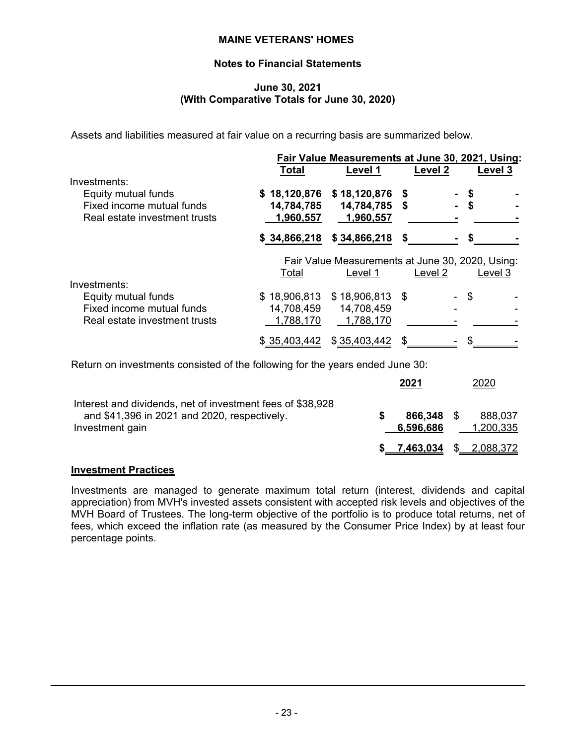# **Notes to Financial Statements**

#### **June 30, 2021 (With Comparative Totals for June 30, 2020)**

Assets and liabilities measured at fair value on a recurring basis are summarized below.

| <b>Total</b> | Level 1                 | Level 2                                                               | Level 3          |                                                                                                      |
|--------------|-------------------------|-----------------------------------------------------------------------|------------------|------------------------------------------------------------------------------------------------------|
|              |                         |                                                                       |                  |                                                                                                      |
|              | \$18,120,876            | S                                                                     |                  |                                                                                                      |
| 14,784,785   |                         | S                                                                     | \$               |                                                                                                      |
| 1,960,557    | 1,960,557               |                                                                       |                  |                                                                                                      |
| \$34,866,218 | \$34,866,218            |                                                                       |                  |                                                                                                      |
|              |                         |                                                                       |                  |                                                                                                      |
| Total        | Level 1                 | Level 2                                                               | Level 3          |                                                                                                      |
|              |                         |                                                                       |                  |                                                                                                      |
|              |                         |                                                                       | \$               |                                                                                                      |
|              |                         |                                                                       |                  |                                                                                                      |
|              |                         |                                                                       |                  |                                                                                                      |
| \$35,403,442 | \$35,403,442            |                                                                       |                  |                                                                                                      |
|              | 14,708,459<br>1,788,170 | \$18,120,876<br>14,784,785<br>\$18,906,813<br>14,708,459<br>1,788,170 | $$18,906,813$ \$ | Fair Value Measurements at June 30, 2021, Using:<br>Fair Value Measurements at June 30, 2020, Using: |

Return on investments consisted of the following for the years ended June 30:

|                                                                                                                               | 2021                   | 2020                          |
|-------------------------------------------------------------------------------------------------------------------------------|------------------------|-------------------------------|
| Interest and dividends, net of investment fees of \$38,928<br>and \$41,396 in 2021 and 2020, respectively.<br>Investment gain | 866.348 S<br>6,596,686 | 888,037<br>1,200,335          |
|                                                                                                                               |                        | <u>7,463,034</u> \$ 2,088,372 |

# **Investment Practices**

Investments are managed to generate maximum total return (interest, dividends and capital appreciation) from MVH's invested assets consistent with accepted risk levels and objectives of the MVH Board of Trustees. The long-term objective of the portfolio is to produce total returns, net of fees, which exceed the inflation rate (as measured by the Consumer Price Index) by at least four percentage points.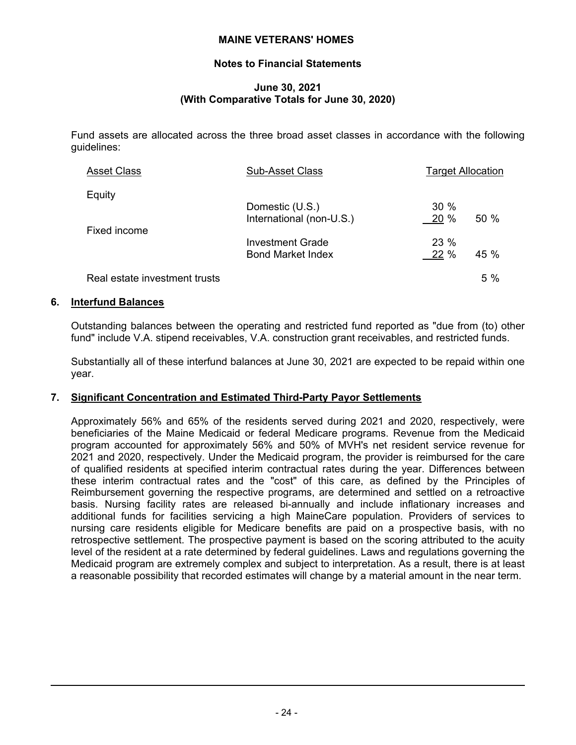# **Notes to Financial Statements**

# **June 30, 2021 (With Comparative Totals for June 30, 2020)**

Fund assets are allocated across the three broad asset classes in accordance with the following guidelines:

| <b>Asset Class</b>            | <b>Sub-Asset Class</b>                              | <b>Target Allocation</b> |      |
|-------------------------------|-----------------------------------------------------|--------------------------|------|
| Equity                        | Domestic (U.S.)                                     | 30%                      |      |
| Fixed income                  | International (non-U.S.)<br><b>Investment Grade</b> | 20%<br>23 %              | 50 % |
|                               | <b>Bond Market Index</b>                            | 22 %                     | 45 % |
| Real estate investment trusts |                                                     |                          | 5 %  |

#### **6. Interfund Balances**

Outstanding balances between the operating and restricted fund reported as "due from (to) other fund" include V.A. stipend receivables, V.A. construction grant receivables, and restricted funds.

Substantially all of these interfund balances at June 30, 2021 are expected to be repaid within one year.

# **7. Significant Concentration and Estimated Third-Party Payor Settlements**

Approximately 56% and 65% of the residents served during 2021 and 2020, respectively, were beneficiaries of the Maine Medicaid or federal Medicare programs. Revenue from the Medicaid program accounted for approximately 56% and 50% of MVH's net resident service revenue for 2021 and 2020, respectively. Under the Medicaid program, the provider is reimbursed for the care of qualified residents at specified interim contractual rates during the year. Differences between these interim contractual rates and the "cost" of this care, as defined by the Principles of Reimbursement governing the respective programs, are determined and settled on a retroactive basis. Nursing facility rates are released bi-annually and include inflationary increases and additional funds for facilities servicing a high MaineCare population. Providers of services to nursing care residents eligible for Medicare benefits are paid on a prospective basis, with no retrospective settlement. The prospective payment is based on the scoring attributed to the acuity level of the resident at a rate determined by federal guidelines. Laws and regulations governing the Medicaid program are extremely complex and subject to interpretation. As a result, there is at least a reasonable possibility that recorded estimates will change by a material amount in the near term.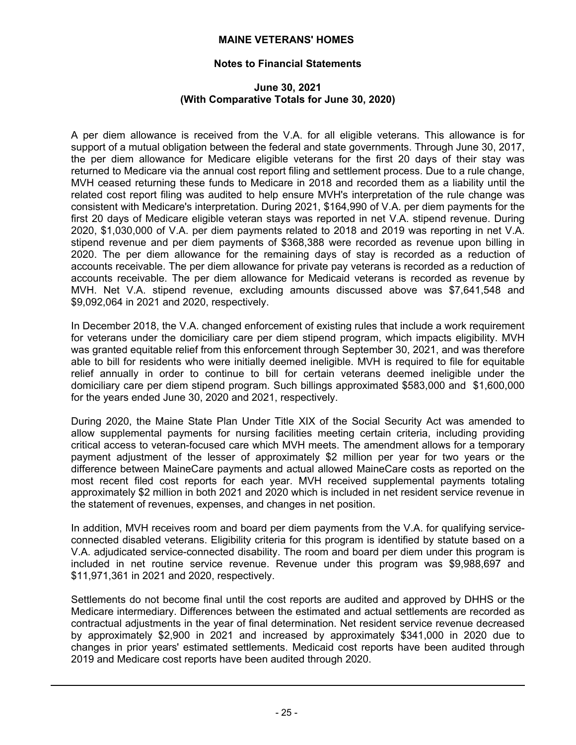# **Notes to Financial Statements**

#### **June 30, 2021 (With Comparative Totals for June 30, 2020)**

A per diem allowance is received from the V.A. for all eligible veterans. This allowance is for support of a mutual obligation between the federal and state governments. Through June 30, 2017, the per diem allowance for Medicare eligible veterans for the first 20 days of their stay was returned to Medicare via the annual cost report filing and settlement process. Due to a rule change, MVH ceased returning these funds to Medicare in 2018 and recorded them as a liability until the related cost report filing was audited to help ensure MVH's interpretation of the rule change was consistent with Medicare's interpretation. During 2021, \$164,990 of V.A. per diem payments for the first 20 days of Medicare eligible veteran stays was reported in net V.A. stipend revenue. During 2020, \$1,030,000 of V.A. per diem payments related to 2018 and 2019 was reporting in net V.A. stipend revenue and per diem payments of \$368,388 were recorded as revenue upon billing in 2020. The per diem allowance for the remaining days of stay is recorded as a reduction of accounts receivable. The per diem allowance for private pay veterans is recorded as a reduction of accounts receivable. The per diem allowance for Medicaid veterans is recorded as revenue by MVH. Net V.A. stipend revenue, excluding amounts discussed above was \$7,641,548 and \$9,092,064 in 2021 and 2020, respectively.

In December 2018, the V.A. changed enforcement of existing rules that include a work requirement for veterans under the domiciliary care per diem stipend program, which impacts eligibility. MVH was granted equitable relief from this enforcement through September 30, 2021, and was therefore able to bill for residents who were initially deemed ineligible. MVH is required to file for equitable relief annually in order to continue to bill for certain veterans deemed ineligible under the domiciliary care per diem stipend program. Such billings approximated \$583,000 and \$1,600,000 for the years ended June 30, 2020 and 2021, respectively.

During 2020, the Maine State Plan Under Title XIX of the Social Security Act was amended to allow supplemental payments for nursing facilities meeting certain criteria, including providing critical access to veteran-focused care which MVH meets. The amendment allows for a temporary payment adjustment of the lesser of approximately \$2 million per year for two years or the difference between MaineCare payments and actual allowed MaineCare costs as reported on the most recent filed cost reports for each year. MVH received supplemental payments totaling approximately \$2 million in both 2021 and 2020 which is included in net resident service revenue in the statement of revenues, expenses, and changes in net position.

In addition, MVH receives room and board per diem payments from the V.A. for qualifying serviceconnected disabled veterans. Eligibility criteria for this program is identified by statute based on a V.A. adjudicated service-connected disability. The room and board per diem under this program is included in net routine service revenue. Revenue under this program was \$9,988,697 and \$11,971,361 in 2021 and 2020, respectively.

Settlements do not become final until the cost reports are audited and approved by DHHS or the Medicare intermediary. Differences between the estimated and actual settlements are recorded as contractual adjustments in the year of final determination. Net resident service revenue decreased by approximately \$2,900 in 2021 and increased by approximately \$341,000 in 2020 due to changes in prior years' estimated settlements. Medicaid cost reports have been audited through 2019 and Medicare cost reports have been audited through 2020.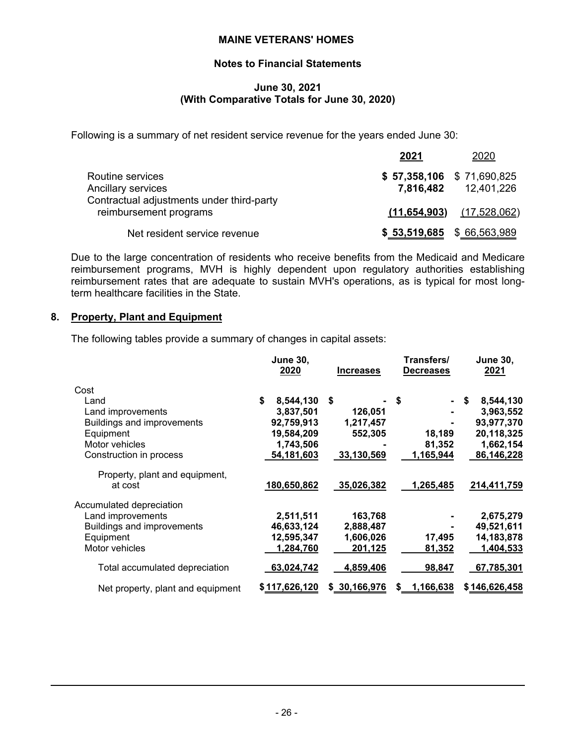# **Notes to Financial Statements**

#### **June 30, 2021 (With Comparative Totals for June 30, 2020)**

Following is a summary of net resident service revenue for the years ended June 30:

|                                                                     | 2021                          | 2020                          |
|---------------------------------------------------------------------|-------------------------------|-------------------------------|
| Routine services                                                    | $$ 57,358,106 \ $ 71,690,825$ |                               |
| Ancillary services                                                  |                               | 7,816,482 12,401,226          |
| Contractual adjustments under third-party<br>reimbursement programs |                               | $(11,654,903)$ $(17,528,062)$ |
| Net resident service revenue                                        |                               | $$ 53,519,685$ $$ 66,563,989$ |

Due to the large concentration of residents who receive benefits from the Medicaid and Medicare reimbursement programs, MVH is highly dependent upon regulatory authorities establishing reimbursement rates that are adequate to sustain MVH's operations, as is typical for most longterm healthcare facilities in the State.

## **8. Property, Plant and Equipment**

The following tables provide a summary of changes in capital assets:

|                                   | <b>June 30,</b><br>2020 | <b>Increases</b> | Transfers/<br><b>Decreases</b> | <b>June 30,</b><br>2021 |
|-----------------------------------|-------------------------|------------------|--------------------------------|-------------------------|
| Cost                              |                         |                  |                                |                         |
| Land                              | \$<br>8,544,130         | Ŝ.               | \$                             | 8,544,130<br>\$         |
| Land improvements                 | 3,837,501               | 126,051          |                                | 3,963,552               |
| <b>Buildings and improvements</b> | 92,759,913              | 1,217,457        |                                | 93,977,370              |
| Equipment                         | 19,584,209              | 552,305          | 18,189                         | 20,118,325              |
| Motor vehicles                    | 1,743,506               |                  | 81,352                         | 1,662,154               |
| Construction in process           | 54,181,603              | 33,130,569       | 1,165,944                      | 86,146,228              |
| Property, plant and equipment,    |                         |                  |                                |                         |
| at cost                           | 180,650,862             | 35,026,382       | 1,265,485                      | 214,411,759             |
| Accumulated depreciation          |                         |                  |                                |                         |
| Land improvements                 | 2,511,511               | 163,768          |                                | 2,675,279               |
| <b>Buildings and improvements</b> | 46,633,124              | 2,888,487        |                                | 49,521,611              |
| Equipment                         | 12,595,347              | 1,606,026        | 17,495                         | 14,183,878              |
| Motor vehicles                    | 1,284,760               | 201,125          | 81,352                         | 1,404,533               |
| Total accumulated depreciation    | 63,024,742              | 4,859,406        | 98,847                         | 67,785,301              |
| Net property, plant and equipment | \$117,626,120           | \$30,166,976     | \$ 1,166,638                   | \$146,626,458           |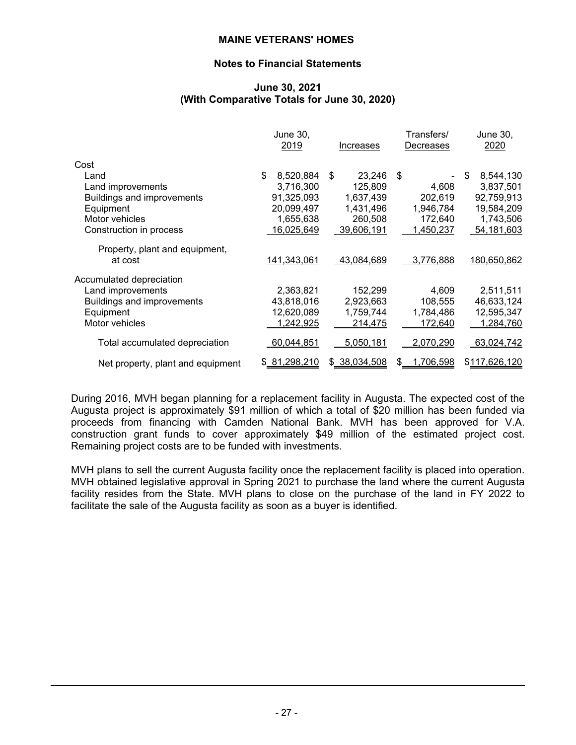# **Notes to Financial Statements**

#### **June 30, 2021 (With Comparative Totals for June 30, 2020)**

|                                   | June 30,        |               | Transfers/       | June 30,        |
|-----------------------------------|-----------------|---------------|------------------|-----------------|
|                                   | 2019            | Increases     | Decreases        | 2020            |
| Cost                              |                 |               |                  |                 |
| Land                              | \$<br>8,520,884 | 23,246<br>\$  | \$               | 8,544,130<br>\$ |
| Land improvements                 | 3,716,300       | 125,809       | 4,608            | 3,837,501       |
| <b>Buildings and improvements</b> | 91,325,093      | 1,637,439     | 202,619          | 92,759,913      |
| Equipment                         | 20,099,497      | 1,431,496     | 1,946,784        | 19,584,209      |
| Motor vehicles                    | 1,655,638       | 260,508       | 172,640          | 1,743,506       |
| Construction in process           | 16,025,649      | 39,606,191    | 1,450,237        | 54, 181, 603    |
| Property, plant and equipment,    |                 |               |                  |                 |
| at cost                           | 141,343,061     | 43,084,689    | 3,776,888        | 180,650,862     |
| Accumulated depreciation          |                 |               |                  |                 |
| Land improvements                 | 2,363,821       | 152,299       | 4,609            | 2,511,511       |
| <b>Buildings and improvements</b> | 43,818,016      | 2,923,663     | 108,555          | 46,633,124      |
| Equipment                         | 12,620,089      | 1,759,744     | 1,784,486        | 12,595,347      |
| Motor vehicles                    | 1,242,925       | 214,475       | 172,640          | 1,284,760       |
| Total accumulated depreciation    | 60,044,851      | 5,050,181     | 2,070,290        | 63,024,742      |
| Net property, plant and equipment | \$81,298,210    | \$ 38,034,508 | 1,706,598<br>\$. | \$117,626,120   |

During 2016, MVH began planning for a replacement facility in Augusta. The expected cost of the Augusta project is approximately \$91 million of which a total of \$20 million has been funded via proceeds from financing with Camden National Bank. MVH has been approved for V.A. construction grant funds to cover approximately \$49 million of the estimated project cost. Remaining project costs are to be funded with investments.

MVH plans to sell the current Augusta facility once the replacement facility is placed into operation. MVH obtained legislative approval in Spring 2021 to purchase the land where the current Augusta facility resides from the State. MVH plans to close on the purchase of the land in FY 2022 to facilitate the sale of the Augusta facility as soon as a buyer is identified.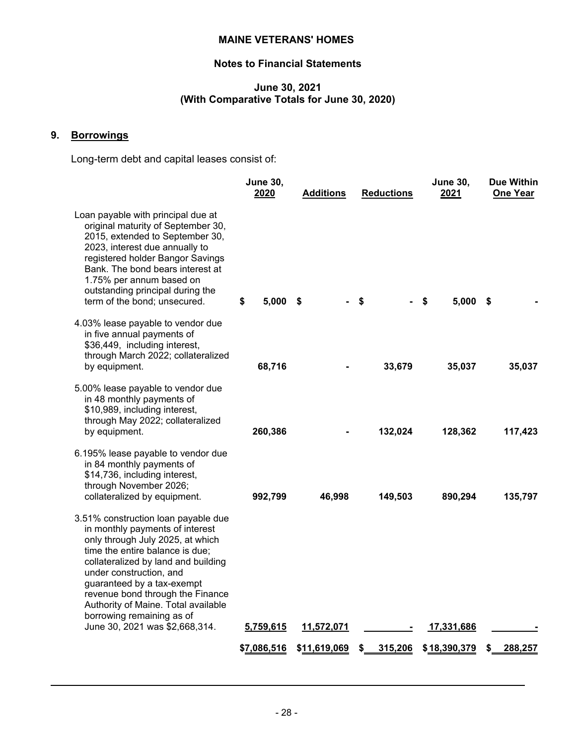# **Notes to Financial Statements**

# **June 30, 2021 (With Comparative Totals for June 30, 2020)**

# **9. Borrowings**

Long-term debt and capital leases consist of:

|                                                                                                                                                                                                                                                                                                                                                                                         | <b>June 30,</b><br>2020 | <b>Additions</b> | <b>Reductions</b> | <b>June 30,</b><br>2021 | <b>Due Within</b><br><b>One Year</b> |
|-----------------------------------------------------------------------------------------------------------------------------------------------------------------------------------------------------------------------------------------------------------------------------------------------------------------------------------------------------------------------------------------|-------------------------|------------------|-------------------|-------------------------|--------------------------------------|
| Loan payable with principal due at<br>original maturity of September 30,<br>2015, extended to September 30,<br>2023, interest due annually to<br>registered holder Bangor Savings<br>Bank. The bond bears interest at<br>1.75% per annum based on<br>outstanding principal during the<br>term of the bond; unsecured.                                                                   | \$<br>5,000             | - \$             | \$                | $5,000$ \$<br>\$        |                                      |
| 4.03% lease payable to vendor due<br>in five annual payments of<br>\$36,449, including interest,<br>through March 2022; collateralized<br>by equipment.                                                                                                                                                                                                                                 | 68,716                  |                  | 33,679            | 35,037                  | 35,037                               |
| 5.00% lease payable to vendor due<br>in 48 monthly payments of<br>\$10,989, including interest,<br>through May 2022; collateralized<br>by equipment.                                                                                                                                                                                                                                    | 260,386                 |                  | 132,024           | 128,362                 | 117,423                              |
| 6.195% lease payable to vendor due<br>in 84 monthly payments of<br>\$14,736, including interest,<br>through November 2026;<br>collateralized by equipment.                                                                                                                                                                                                                              | 992,799                 | 46,998           | 149,503           | 890,294                 | 135,797                              |
| 3.51% construction loan payable due<br>in monthly payments of interest<br>only through July 2025, at which<br>time the entire balance is due;<br>collateralized by land and building<br>under construction, and<br>guaranteed by a tax-exempt<br>revenue bond through the Finance<br>Authority of Maine. Total available<br>borrowing remaining as of<br>June 30, 2021 was \$2,668,314. | 5,759,615               | 11,572,071       |                   | 17,331,686              |                                      |
|                                                                                                                                                                                                                                                                                                                                                                                         | \$7,086,516             | \$11,619,069     | 315,206<br>\$     | \$18,390,379            | 288,257                              |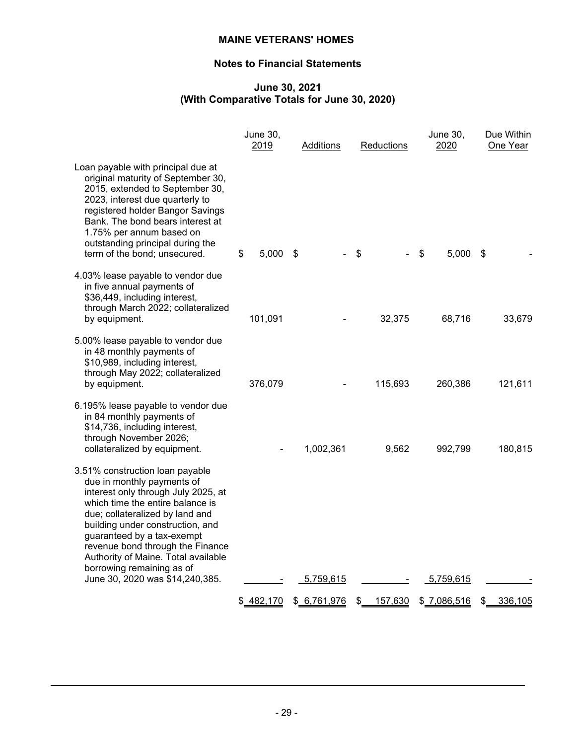# **Notes to Financial Statements**

# **June 30, 2021 (With Comparative Totals for June 30, 2020)**

|                                                                                                                                                                                                                                                                                                                                                       | <b>June 30,</b><br>2019 | Additions   | Reductions    | June 30,<br>2020 | Due Within<br>One Year |
|-------------------------------------------------------------------------------------------------------------------------------------------------------------------------------------------------------------------------------------------------------------------------------------------------------------------------------------------------------|-------------------------|-------------|---------------|------------------|------------------------|
| Loan payable with principal due at<br>original maturity of September 30,<br>2015, extended to September 30,<br>2023, interest due quarterly to<br>registered holder Bangor Savings<br>Bank. The bond bears interest at<br>1.75% per annum based on<br>outstanding principal during the<br>term of the bond; unsecured.                                | 5,000<br>\$             | - \$        | \$            | \$<br>5,000      | \$                     |
| 4.03% lease payable to vendor due<br>in five annual payments of<br>\$36,449, including interest,<br>through March 2022; collateralized<br>by equipment.                                                                                                                                                                                               | 101,091                 |             | 32,375        | 68,716           | 33,679                 |
| 5.00% lease payable to vendor due<br>in 48 monthly payments of<br>\$10,989, including interest,<br>through May 2022; collateralized<br>by equipment.                                                                                                                                                                                                  | 376,079                 |             | 115,693       | 260,386          | 121,611                |
| 6.195% lease payable to vendor due<br>in 84 monthly payments of<br>\$14,736, including interest,<br>through November 2026;<br>collateralized by equipment.                                                                                                                                                                                            |                         | 1,002,361   | 9,562         | 992,799          | 180,815                |
| 3.51% construction loan payable<br>due in monthly payments of<br>interest only through July 2025, at<br>which time the entire balance is<br>due; collateralized by land and<br>building under construction, and<br>guaranteed by a tax-exempt<br>revenue bond through the Finance<br>Authority of Maine. Total available<br>borrowing remaining as of |                         |             |               |                  |                        |
| June 30, 2020 was \$14,240,385.                                                                                                                                                                                                                                                                                                                       |                         | 5,759,615   |               | 5,759,615        |                        |
|                                                                                                                                                                                                                                                                                                                                                       | \$482,170               | \$6,761,976 | 157,630<br>\$ | \$7,086,516      | 336,105<br>\$          |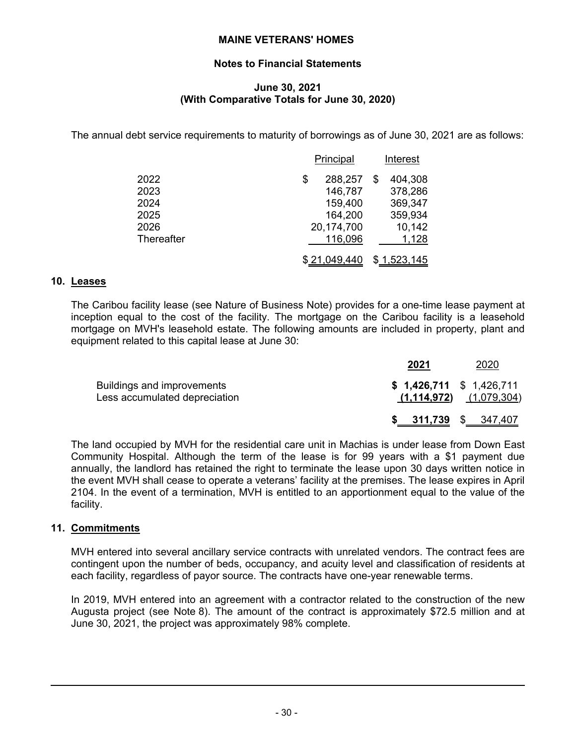# **Notes to Financial Statements**

# **June 30, 2021 (With Comparative Totals for June 30, 2020)**

The annual debt service requirements to maturity of borrowings as of June 30, 2021 are as follows:

|            | Principal     |   | Interest    |
|------------|---------------|---|-------------|
| 2022       | 288,257<br>\$ | S | 404,308     |
| 2023       | 146,787       |   | 378,286     |
| 2024       | 159,400       |   | 369,347     |
| 2025       | 164,200       |   | 359,934     |
| 2026       | 20,174,700    |   | 10,142      |
| Thereafter | 116,096       |   | 1,128       |
|            | \$21,049,440  |   | \$1,523,145 |

# **10. Leases**

The Caribou facility lease (see Nature of Business Note) provides for a one-time lease payment at inception equal to the cost of the facility. The mortgage on the Caribou facility is a leasehold mortgage on MVH's leasehold estate. The following amounts are included in property, plant and equipment related to this capital lease at June 30:

|                                                             | 2021                      | 2020                        |
|-------------------------------------------------------------|---------------------------|-----------------------------|
| Buildings and improvements<br>Less accumulated depreciation | $$1,426,711$ $$1,426,711$ | $(1,114,972)$ $(1,079,304)$ |
|                                                             | $$ 311,739$ $$ 347,407$   |                             |

The land occupied by MVH for the residential care unit in Machias is under lease from Down East Community Hospital. Although the term of the lease is for 99 years with a \$1 payment due annually, the landlord has retained the right to terminate the lease upon 30 days written notice in the event MVH shall cease to operate a veterans' facility at the premises. The lease expires in April 2104. In the event of a termination, MVH is entitled to an apportionment equal to the value of the facility.

# **11. Commitments**

MVH entered into several ancillary service contracts with unrelated vendors. The contract fees are contingent upon the number of beds, occupancy, and acuity level and classification of residents at each facility, regardless of payor source. The contracts have one-year renewable terms.

In 2019, MVH entered into an agreement with a contractor related to the construction of the new Augusta project (see Note 8). The amount of the contract is approximately \$72.5 million and at June 30, 2021, the project was approximately 98% complete.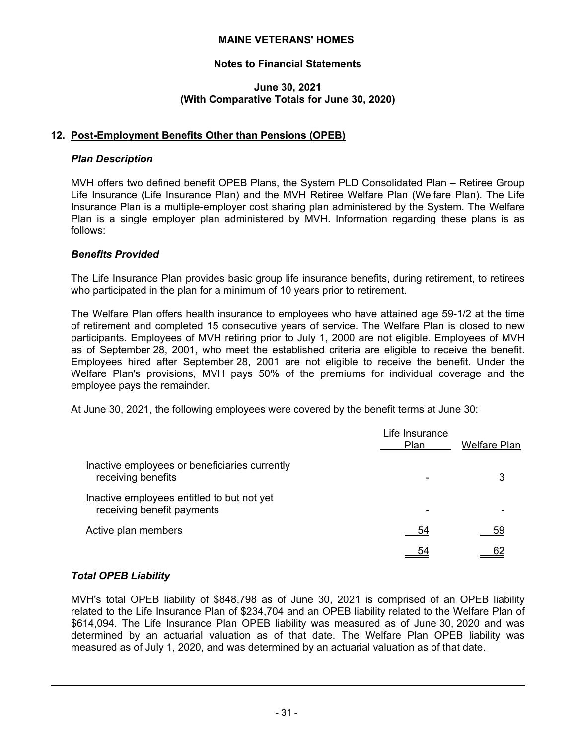# **Notes to Financial Statements**

#### **June 30, 2021 (With Comparative Totals for June 30, 2020)**

# **12. Post-Employment Benefits Other than Pensions (OPEB)**

# *Plan Description*

MVH offers two defined benefit OPEB Plans, the System PLD Consolidated Plan – Retiree Group Life Insurance (Life Insurance Plan) and the MVH Retiree Welfare Plan (Welfare Plan). The Life Insurance Plan is a multiple-employer cost sharing plan administered by the System. The Welfare Plan is a single employer plan administered by MVH. Information regarding these plans is as follows:

# *Benefits Provided*

The Life Insurance Plan provides basic group life insurance benefits, during retirement, to retirees who participated in the plan for a minimum of 10 years prior to retirement.

The Welfare Plan offers health insurance to employees who have attained age 59-1/2 at the time of retirement and completed 15 consecutive years of service. The Welfare Plan is closed to new participants. Employees of MVH retiring prior to July 1, 2000 are not eligible. Employees of MVH as of September 28, 2001, who meet the established criteria are eligible to receive the benefit. Employees hired after September 28, 2001 are not eligible to receive the benefit. Under the Welfare Plan's provisions, MVH pays 50% of the premiums for individual coverage and the employee pays the remainder.

At June 30, 2021, the following employees were covered by the benefit terms at June 30:

|                                                                          | Life Insurance<br><b>Plan</b> | <b>Welfare Plan</b> |
|--------------------------------------------------------------------------|-------------------------------|---------------------|
| Inactive employees or beneficiaries currently<br>receiving benefits      |                               |                     |
| Inactive employees entitled to but not yet<br>receiving benefit payments | ٠                             |                     |
| Active plan members                                                      | 54                            | 59                  |
|                                                                          |                               |                     |

# *Total OPEB Liability*

MVH's total OPEB liability of \$848,798 as of June 30, 2021 is comprised of an OPEB liability related to the Life Insurance Plan of \$234,704 and an OPEB liability related to the Welfare Plan of \$614,094. The Life Insurance Plan OPEB liability was measured as of June 30, 2020 and was determined by an actuarial valuation as of that date. The Welfare Plan OPEB liability was measured as of July 1, 2020, and was determined by an actuarial valuation as of that date.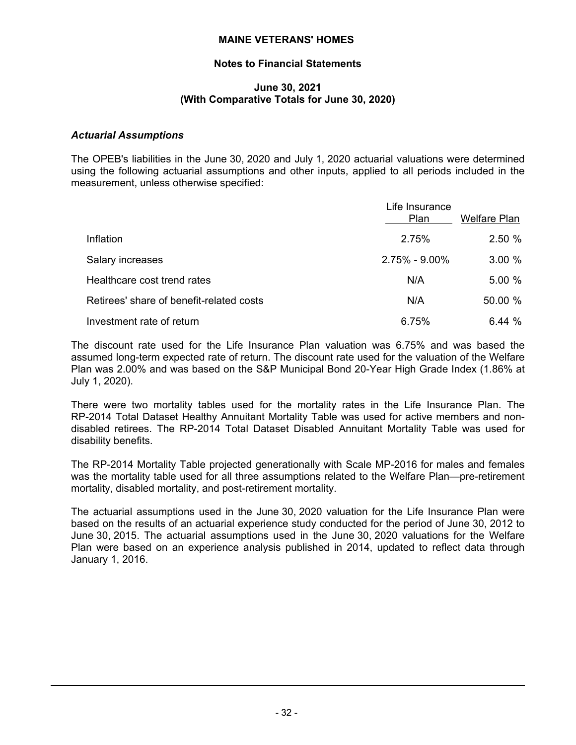# **Notes to Financial Statements**

#### **June 30, 2021 (With Comparative Totals for June 30, 2020)**

#### *Actuarial Assumptions*

The OPEB's liabilities in the June 30, 2020 and July 1, 2020 actuarial valuations were determined using the following actuarial assumptions and other inputs, applied to all periods included in the measurement, unless otherwise specified:

|                                          | Life Insurance<br><b>Plan</b> | <b>Welfare Plan</b> |
|------------------------------------------|-------------------------------|---------------------|
| Inflation                                | 2.75%                         | 2.50%               |
| Salary increases                         | $2.75\% - 9.00\%$             | 3.00%               |
| Healthcare cost trend rates              | N/A                           | 5.00 %              |
| Retirees' share of benefit-related costs | N/A                           | 50.00 %             |
| Investment rate of return                | 6.75%                         | 6.44%               |

The discount rate used for the Life Insurance Plan valuation was 6.75% and was based the assumed long-term expected rate of return. The discount rate used for the valuation of the Welfare Plan was 2.00% and was based on the S&P Municipal Bond 20-Year High Grade Index (1.86% at July 1, 2020).

There were two mortality tables used for the mortality rates in the Life Insurance Plan. The RP-2014 Total Dataset Healthy Annuitant Mortality Table was used for active members and nondisabled retirees. The RP-2014 Total Dataset Disabled Annuitant Mortality Table was used for disability benefits.

The RP-2014 Mortality Table projected generationally with Scale MP-2016 for males and females was the mortality table used for all three assumptions related to the Welfare Plan—pre-retirement mortality, disabled mortality, and post-retirement mortality.

The actuarial assumptions used in the June 30, 2020 valuation for the Life Insurance Plan were based on the results of an actuarial experience study conducted for the period of June 30, 2012 to June 30, 2015. The actuarial assumptions used in the June 30, 2020 valuations for the Welfare Plan were based on an experience analysis published in 2014, updated to reflect data through January 1, 2016.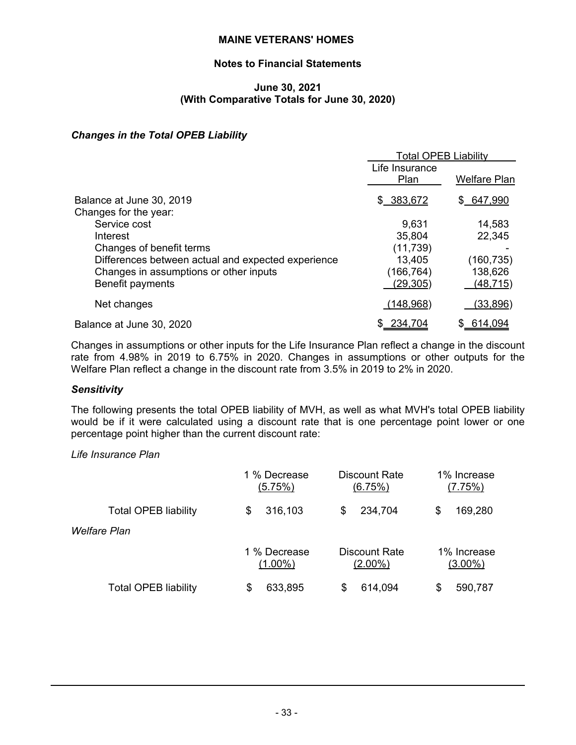# **Notes to Financial Statements**

## **June 30, 2021 (With Comparative Totals for June 30, 2020)**

# *Changes in the Total OPEB Liability*

|                                                    | <b>Total OPEB Liability</b> |                     |
|----------------------------------------------------|-----------------------------|---------------------|
|                                                    | Life Insurance<br>Plan      | <b>Welfare Plan</b> |
| Balance at June 30, 2019<br>Changes for the year:  | \$ 383,672                  | \$647,990           |
| Service cost                                       | 9,631                       | 14,583              |
| Interest                                           | 35,804                      | 22,345              |
| Changes of benefit terms                           | (11, 739)                   |                     |
| Differences between actual and expected experience | 13,405                      | (160, 735)          |
| Changes in assumptions or other inputs             | (166,764)                   | 138,626             |
| Benefit payments                                   | (29, 305)                   | <u>(48,715)</u>     |
| Net changes                                        | (148,968)                   | (33,896)            |
| Balance at June 30, 2020                           | 234,704                     | 614,094             |

Changes in assumptions or other inputs for the Life Insurance Plan reflect a change in the discount rate from 4.98% in 2019 to 6.75% in 2020. Changes in assumptions or other outputs for the Welfare Plan reflect a change in the discount rate from 3.5% in 2019 to 2% in 2020.

# *Sensitivity*

The following presents the total OPEB liability of MVH, as well as what MVH's total OPEB liability would be if it were calculated using a discount rate that is one percentage point lower or one percentage point higher than the current discount rate:

#### *Life Insurance Plan*

|                             | 1 % Decrease | Discount Rate | 1% Increase |
|-----------------------------|--------------|---------------|-------------|
|                             | (5.75%)      | (6.75%)       | (7.75%)     |
| <b>Total OPEB liability</b> | 316,103      | 234,704       | 169,280     |
|                             | \$           | \$            | \$          |
| Welfare Plan                |              |               |             |
|                             | 1 % Decrease | Discount Rate | 1% Increase |
|                             | $(1.00\%)$   | $(2.00\%)$    | $(3.00\%)$  |
| <b>Total OPEB liability</b> | 633,895      | 614,094       | 590,787     |
|                             | S            | S             | S           |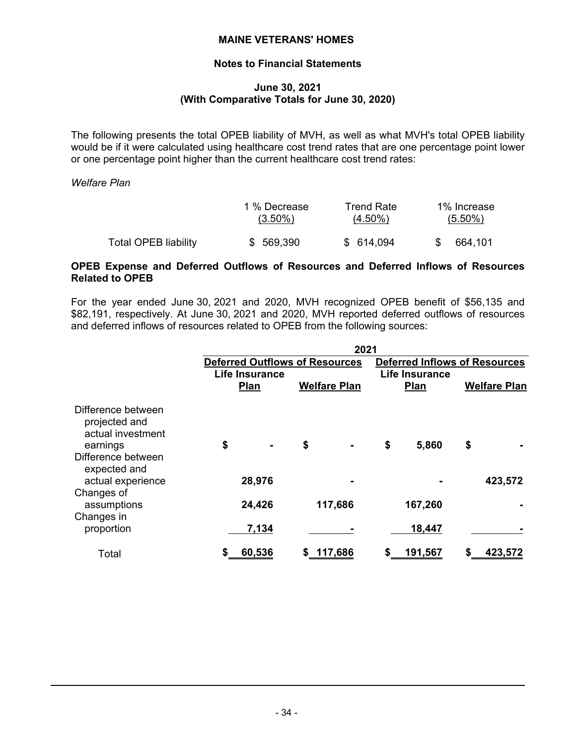# **Notes to Financial Statements**

#### **June 30, 2021 (With Comparative Totals for June 30, 2020)**

The following presents the total OPEB liability of MVH, as well as what MVH's total OPEB liability would be if it were calculated using healthcare cost trend rates that are one percentage point lower or one percentage point higher than the current healthcare cost trend rates:

*Welfare Plan*

|                             | 1 % Decrease | Trend Rate | 1% Increase |
|-----------------------------|--------------|------------|-------------|
|                             | $(3.50\%)$   | $(4.50\%)$ | $(5.50\%)$  |
| <b>Total OPEB liability</b> | \$ 569,390   | \$ 614,094 | 664.101     |

#### **OPEB Expense and Deferred Outflows of Resources and Deferred Inflows of Resources Related to OPEB**

For the year ended June 30, 2021 and 2020, MVH recognized OPEB benefit of \$56,135 and \$82,191, respectively. At June 30, 2021 and 2020, MVH reported deferred outflows of resources and deferred inflows of resources related to OPEB from the following sources:

|                                                                                            | 2021                                  |    |                     |    |                       |                                      |                     |  |  |  |  |  |
|--------------------------------------------------------------------------------------------|---------------------------------------|----|---------------------|----|-----------------------|--------------------------------------|---------------------|--|--|--|--|--|
|                                                                                            | <b>Deferred Outflows of Resources</b> |    |                     |    |                       | <b>Deferred Inflows of Resources</b> |                     |  |  |  |  |  |
|                                                                                            | Life Insurance                        |    |                     |    | <b>Life Insurance</b> |                                      |                     |  |  |  |  |  |
|                                                                                            | Plan                                  |    | <b>Welfare Plan</b> |    | Plan                  |                                      | <b>Welfare Plan</b> |  |  |  |  |  |
| Difference between<br>projected and<br>actual investment<br>earnings<br>Difference between | \$<br>$\blacksquare$                  | \$ |                     | \$ | 5,860                 | \$                                   |                     |  |  |  |  |  |
| expected and<br>actual experience                                                          | 28,976                                |    |                     |    |                       |                                      | 423,572             |  |  |  |  |  |
| Changes of<br>assumptions<br>Changes in                                                    | 24,426                                |    | 117,686             |    | 167,260               |                                      |                     |  |  |  |  |  |
| proportion                                                                                 | 7,134                                 |    |                     |    | 18,447                |                                      |                     |  |  |  |  |  |
| Total                                                                                      | 60,536                                | \$ | 117,686             | \$ | <u>191,567</u>        |                                      | 423,572             |  |  |  |  |  |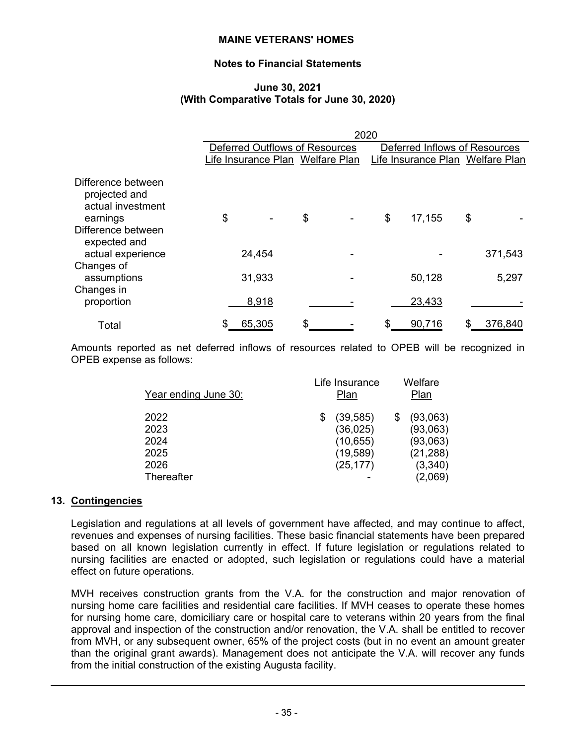# **Notes to Financial Statements**

#### **June 30, 2021 (With Comparative Totals for June 30, 2020)**

|                                                                      | 2020 |                                       |    |                               |    |                                  |    |         |  |  |  |  |  |
|----------------------------------------------------------------------|------|---------------------------------------|----|-------------------------------|----|----------------------------------|----|---------|--|--|--|--|--|
|                                                                      |      | <b>Deferred Outflows of Resources</b> |    | Deferred Inflows of Resources |    |                                  |    |         |  |  |  |  |  |
|                                                                      |      | Life Insurance Plan Welfare Plan      |    |                               |    | Life Insurance Plan Welfare Plan |    |         |  |  |  |  |  |
| Difference between<br>projected and<br>actual investment<br>earnings | \$   |                                       | \$ |                               | \$ | 17,155                           | \$ |         |  |  |  |  |  |
| Difference between<br>expected and<br>actual experience              |      | 24,454                                |    |                               |    |                                  |    | 371,543 |  |  |  |  |  |
| Changes of<br>assumptions                                            |      | 31,933                                |    |                               |    | 50,128                           |    | 5,297   |  |  |  |  |  |
| Changes in<br>proportion                                             |      | 8,918                                 |    |                               |    | 23,433                           |    |         |  |  |  |  |  |
| Total                                                                |      | 65,305                                | \$ |                               | S  | 90,716                           |    | 376,840 |  |  |  |  |  |

Amounts reported as net deferred inflows of resources related to OPEB will be recognized in OPEB expense as follows:

| Year ending June 30:                               | Life Insurance<br>Plan                                        | Welfare<br>Plan                                                     |
|----------------------------------------------------|---------------------------------------------------------------|---------------------------------------------------------------------|
| 2022<br>2023<br>2024<br>2025<br>2026<br>Thereafter | (39, 585)<br>(36, 025)<br>(10, 655)<br>(19, 589)<br>(25, 177) | (93,063)<br>(93,063)<br>(93,063)<br>(21, 288)<br>(3,340)<br>(2,069) |
|                                                    |                                                               |                                                                     |

# **13. Contingencies**

Legislation and regulations at all levels of government have affected, and may continue to affect, revenues and expenses of nursing facilities. These basic financial statements have been prepared based on all known legislation currently in effect. If future legislation or regulations related to nursing facilities are enacted or adopted, such legislation or regulations could have a material effect on future operations.

MVH receives construction grants from the V.A. for the construction and major renovation of nursing home care facilities and residential care facilities. If MVH ceases to operate these homes for nursing home care, domiciliary care or hospital care to veterans within 20 years from the final approval and inspection of the construction and/or renovation, the V.A. shall be entitled to recover from MVH, or any subsequent owner, 65% of the project costs (but in no event an amount greater than the original grant awards). Management does not anticipate the V.A. will recover any funds from the initial construction of the existing Augusta facility.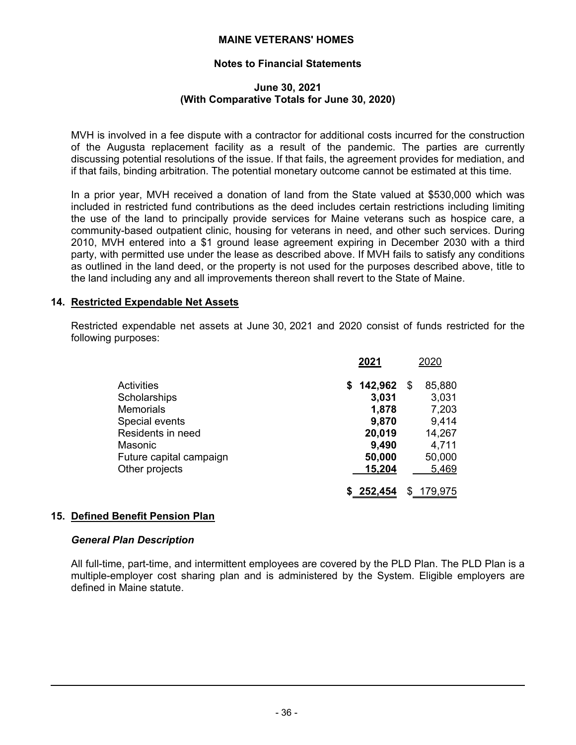# **Notes to Financial Statements**

#### **June 30, 2021 (With Comparative Totals for June 30, 2020)**

MVH is involved in a fee dispute with a contractor for additional costs incurred for the construction of the Augusta replacement facility as a result of the pandemic. The parties are currently discussing potential resolutions of the issue. If that fails, the agreement provides for mediation, and if that fails, binding arbitration. The potential monetary outcome cannot be estimated at this time.

In a prior year, MVH received a donation of land from the State valued at \$530,000 which was included in restricted fund contributions as the deed includes certain restrictions including limiting the use of the land to principally provide services for Maine veterans such as hospice care, a community-based outpatient clinic, housing for veterans in need, and other such services. During 2010, MVH entered into a \$1 ground lease agreement expiring in December 2030 with a third party, with permitted use under the lease as described above. If MVH fails to satisfy any conditions as outlined in the land deed, or the property is not used for the purposes described above, title to the land including any and all improvements thereon shall revert to the State of Maine.

#### **14. Restricted Expendable Net Assets**

Restricted expendable net assets at June 30, 2021 and 2020 consist of funds restricted for the following purposes:

|                         | 2021          |    | 2020    |
|-------------------------|---------------|----|---------|
| Activities              | 142,962<br>S. | \$ | 85,880  |
| Scholarships            | 3,031         |    | 3,031   |
| <b>Memorials</b>        | 1,878         |    | 7,203   |
| Special events          | 9,870         |    | 9,414   |
| Residents in need       | 20,019        |    | 14,267  |
| Masonic                 | 9,490         |    | 4,711   |
| Future capital campaign | 50,000        |    | 50,000  |
| Other projects          | 15,204        |    | 5,469   |
|                         | \$252,454     | S  | 179,975 |

# **15. Defined Benefit Pension Plan**

#### *General Plan Description*

All full-time, part-time, and intermittent employees are covered by the PLD Plan. The PLD Plan is a multiple-employer cost sharing plan and is administered by the System. Eligible employers are defined in Maine statute.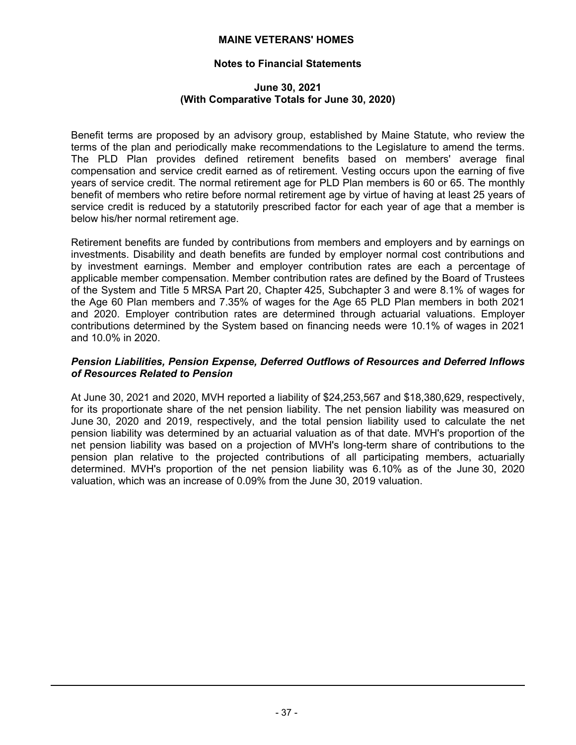# **Notes to Financial Statements**

#### **June 30, 2021 (With Comparative Totals for June 30, 2020)**

Benefit terms are proposed by an advisory group, established by Maine Statute, who review the terms of the plan and periodically make recommendations to the Legislature to amend the terms. The PLD Plan provides defined retirement benefits based on members' average final compensation and service credit earned as of retirement. Vesting occurs upon the earning of five years of service credit. The normal retirement age for PLD Plan members is 60 or 65. The monthly benefit of members who retire before normal retirement age by virtue of having at least 25 years of service credit is reduced by a statutorily prescribed factor for each year of age that a member is below his/her normal retirement age.

Retirement benefits are funded by contributions from members and employers and by earnings on investments. Disability and death benefits are funded by employer normal cost contributions and by investment earnings. Member and employer contribution rates are each a percentage of applicable member compensation. Member contribution rates are defined by the Board of Trustees of the System and Title 5 MRSA Part 20, Chapter 425, Subchapter 3 and were 8.1% of wages for the Age 60 Plan members and 7.35% of wages for the Age 65 PLD Plan members in both 2021 and 2020. Employer contribution rates are determined through actuarial valuations. Employer contributions determined by the System based on financing needs were 10.1% of wages in 2021 and 10.0% in 2020.

## *Pension Liabilities, Pension Expense, Deferred Outflows of Resources and Deferred Inflows of Resources Related to Pension*

At June 30, 2021 and 2020, MVH reported a liability of \$24,253,567 and \$18,380,629, respectively, for its proportionate share of the net pension liability. The net pension liability was measured on June 30, 2020 and 2019, respectively, and the total pension liability used to calculate the net pension liability was determined by an actuarial valuation as of that date. MVH's proportion of the net pension liability was based on a projection of MVH's long-term share of contributions to the pension plan relative to the projected contributions of all participating members, actuarially determined. MVH's proportion of the net pension liability was 6.10% as of the June 30, 2020 valuation, which was an increase of 0.09% from the June 30, 2019 valuation.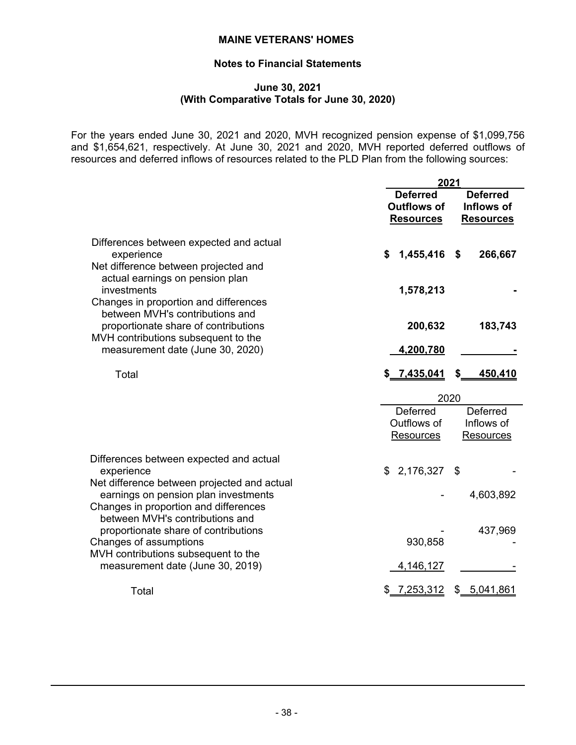# **Notes to Financial Statements**

#### **June 30, 2021 (With Comparative Totals for June 30, 2020)**

For the years ended June 30, 2021 and 2020, MVH recognized pension expense of \$1,099,756 and \$1,654,621, respectively. At June 30, 2021 and 2020, MVH reported deferred outflows of resources and deferred inflows of resources related to the PLD Plan from the following sources:

|                                                                                                                                                                                       | 2021                                                      |                                                   |
|---------------------------------------------------------------------------------------------------------------------------------------------------------------------------------------|-----------------------------------------------------------|---------------------------------------------------|
|                                                                                                                                                                                       | <b>Deferred</b><br><b>Outflows of</b><br><b>Resources</b> | <b>Deferred</b><br>Inflows of<br><b>Resources</b> |
| Differences between expected and actual<br>experience<br>Net difference between projected and<br>actual earnings on pension plan                                                      | 1,455,416 \$<br>\$                                        | 266,667                                           |
| investments<br>Changes in proportion and differences<br>between MVH's contributions and<br>proportionate share of contributions                                                       | 1,578,213<br>200,632                                      | 183,743                                           |
| MVH contributions subsequent to the<br>measurement date (June 30, 2020)<br>Total                                                                                                      | 4,200,780<br>\$7,435,041                                  | \$<br>450,410                                     |
|                                                                                                                                                                                       | 2020<br><b>Deferred</b>                                   |                                                   |
|                                                                                                                                                                                       | Outflows of<br><b>Resources</b>                           | Deferred<br>Inflows of<br><b>Resources</b>        |
| Differences between expected and actual<br>experience<br>Net difference between projected and actual<br>earnings on pension plan investments<br>Changes in proportion and differences | \$2,176,327                                               | \$<br>4,603,892                                   |
| between MVH's contributions and<br>proportionate share of contributions<br>Changes of assumptions<br>MVH contributions subsequent to the<br>measurement date (June 30, 2019)          | 930,858<br>4,146,127                                      | 437,969                                           |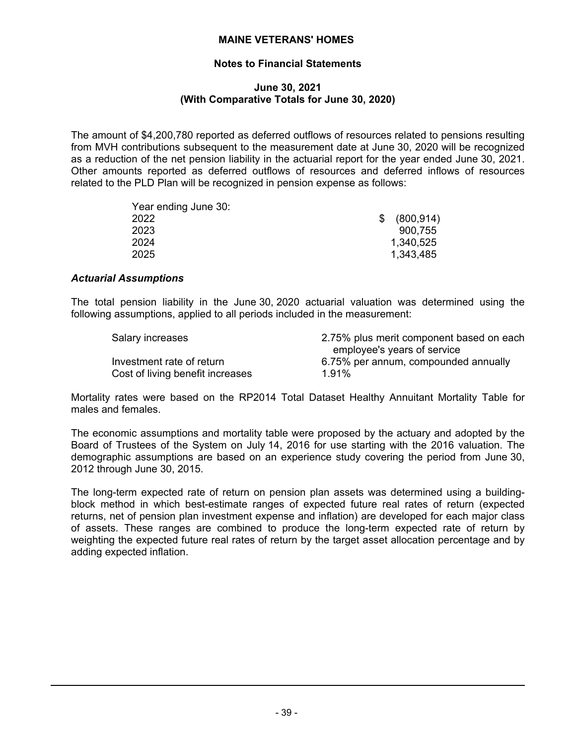# **Notes to Financial Statements**

#### **June 30, 2021 (With Comparative Totals for June 30, 2020)**

The amount of \$4,200,780 reported as deferred outflows of resources related to pensions resulting from MVH contributions subsequent to the measurement date at June 30, 2020 will be recognized as a reduction of the net pension liability in the actuarial report for the year ended June 30, 2021. Other amounts reported as deferred outflows of resources and deferred inflows of resources related to the PLD Plan will be recognized in pension expense as follows:

| (800, 914) |
|------------|
| 900.755    |
| 1,340,525  |
| 1,343,485  |
|            |

#### *Actuarial Assumptions*

The total pension liability in the June 30, 2020 actuarial valuation was determined using the following assumptions, applied to all periods included in the measurement:

| Salary increases                 | 2.75% plus merit component based on each |
|----------------------------------|------------------------------------------|
|                                  | employee's years of service              |
| Investment rate of return        | 6.75% per annum, compounded annually     |
| Cost of living benefit increases | 1.91%                                    |

Mortality rates were based on the RP2014 Total Dataset Healthy Annuitant Mortality Table for males and females.

The economic assumptions and mortality table were proposed by the actuary and adopted by the Board of Trustees of the System on July 14, 2016 for use starting with the 2016 valuation. The demographic assumptions are based on an experience study covering the period from June 30, 2012 through June 30, 2015.

The long-term expected rate of return on pension plan assets was determined using a buildingblock method in which best-estimate ranges of expected future real rates of return (expected returns, net of pension plan investment expense and inflation) are developed for each major class of assets. These ranges are combined to produce the long-term expected rate of return by weighting the expected future real rates of return by the target asset allocation percentage and by adding expected inflation.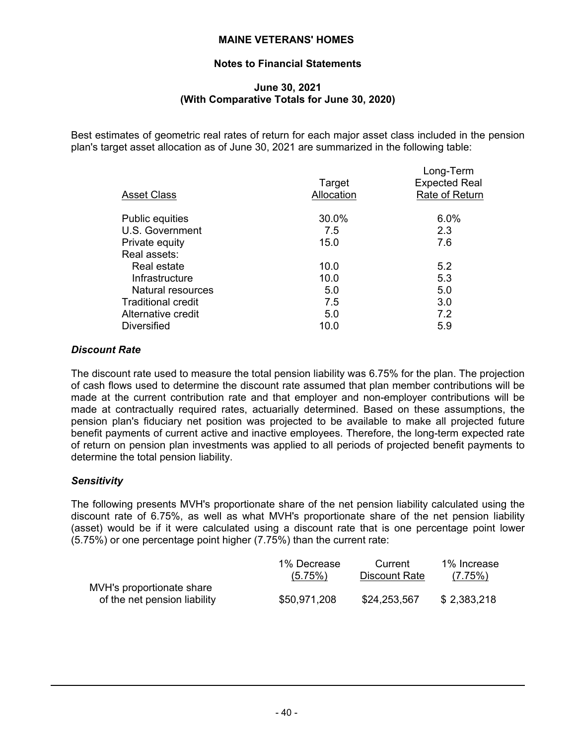# **Notes to Financial Statements**

# **June 30, 2021 (With Comparative Totals for June 30, 2020)**

Best estimates of geometric real rates of return for each major asset class included in the pension plan's target asset allocation as of June 30, 2021 are summarized in the following table:

| <b>Asset Class</b>       | Target<br>Allocation | Long-Term<br><b>Expected Real</b><br>Rate of Return |
|--------------------------|----------------------|-----------------------------------------------------|
| <b>Public equities</b>   | 30.0%                | 6.0%                                                |
| U.S. Government          | 7.5                  | 2.3                                                 |
| Private equity           | 15.0                 | 7.6                                                 |
| Real assets:             |                      |                                                     |
| Real estate              | 10.0                 | 5.2                                                 |
| Infrastructure           | 10.0                 | 5.3                                                 |
| <b>Natural resources</b> | 5.0                  | 5.0                                                 |
| Traditional credit       | 7.5                  | 3.0                                                 |
| Alternative credit       | 5.0                  | 7.2                                                 |
| <b>Diversified</b>       | 10.0                 | 5.9                                                 |

# *Discount Rate*

The discount rate used to measure the total pension liability was 6.75% for the plan. The projection of cash flows used to determine the discount rate assumed that plan member contributions will be made at the current contribution rate and that employer and non-employer contributions will be made at contractually required rates, actuarially determined. Based on these assumptions, the pension plan's fiduciary net position was projected to be available to make all projected future benefit payments of current active and inactive employees. Therefore, the long-term expected rate of return on pension plan investments was applied to all periods of projected benefit payments to determine the total pension liability.

# *Sensitivity*

The following presents MVH's proportionate share of the net pension liability calculated using the discount rate of 6.75%, as well as what MVH's proportionate share of the net pension liability (asset) would be if it were calculated using a discount rate that is one percentage point lower (5.75%) or one percentage point higher (7.75%) than the current rate:

|                                                           | 1% Decrease  | Current       | 1% Increase |
|-----------------------------------------------------------|--------------|---------------|-------------|
|                                                           | (5.75%)      | Discount Rate | (7.75%)     |
| MVH's proportionate share<br>of the net pension liability | \$50,971,208 | \$24,253,567  | \$2,383,218 |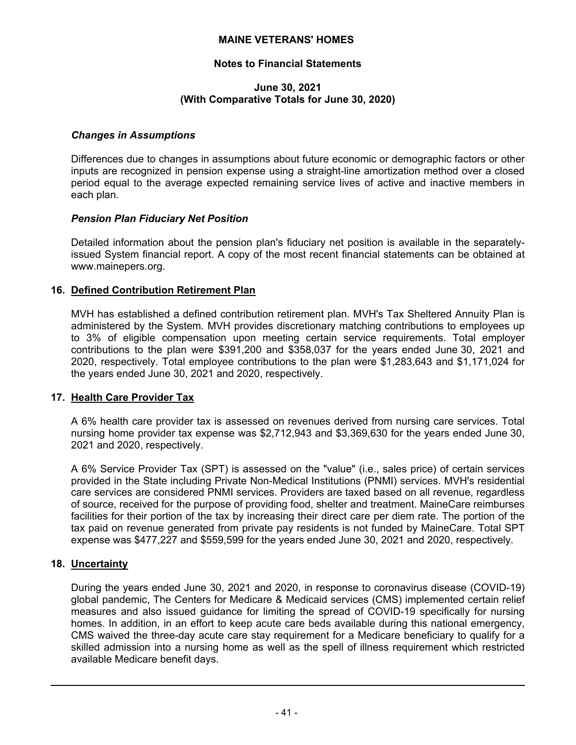# **Notes to Financial Statements**

#### **June 30, 2021 (With Comparative Totals for June 30, 2020)**

#### *Changes in Assumptions*

Differences due to changes in assumptions about future economic or demographic factors or other inputs are recognized in pension expense using a straight-line amortization method over a closed period equal to the average expected remaining service lives of active and inactive members in each plan.

#### *Pension Plan Fiduciary Net Position*

Detailed information about the pension plan's fiduciary net position is available in the separatelyissued System financial report. A copy of the most recent financial statements can be obtained at www.mainepers.org.

#### **16. Defined Contribution Retirement Plan**

MVH has established a defined contribution retirement plan. MVH's Tax Sheltered Annuity Plan is administered by the System. MVH provides discretionary matching contributions to employees up to 3% of eligible compensation upon meeting certain service requirements. Total employer contributions to the plan were \$391,200 and \$358,037 for the years ended June 30, 2021 and 2020, respectively. Total employee contributions to the plan were \$1,283,643 and \$1,171,024 for the years ended June 30, 2021 and 2020, respectively.

#### **17. Health Care Provider Tax**

A 6% health care provider tax is assessed on revenues derived from nursing care services. Total nursing home provider tax expense was \$2,712,943 and \$3,369,630 for the years ended June 30, 2021 and 2020, respectively.

A 6% Service Provider Tax (SPT) is assessed on the "value" (i.e., sales price) of certain services provided in the State including Private Non-Medical Institutions (PNMI) services. MVH's residential care services are considered PNMI services. Providers are taxed based on all revenue, regardless of source, received for the purpose of providing food, shelter and treatment. MaineCare reimburses facilities for their portion of the tax by increasing their direct care per diem rate. The portion of the tax paid on revenue generated from private pay residents is not funded by MaineCare. Total SPT expense was \$477,227 and \$559,599 for the years ended June 30, 2021 and 2020, respectively.

# **18. Uncertainty**

During the years ended June 30, 2021 and 2020, in response to coronavirus disease (COVID-19) global pandemic, The Centers for Medicare & Medicaid services (CMS) implemented certain relief measures and also issued guidance for limiting the spread of COVID-19 specifically for nursing homes. In addition, in an effort to keep acute care beds available during this national emergency, CMS waived the three-day acute care stay requirement for a Medicare beneficiary to qualify for a skilled admission into a nursing home as well as the spell of illness requirement which restricted available Medicare benefit days.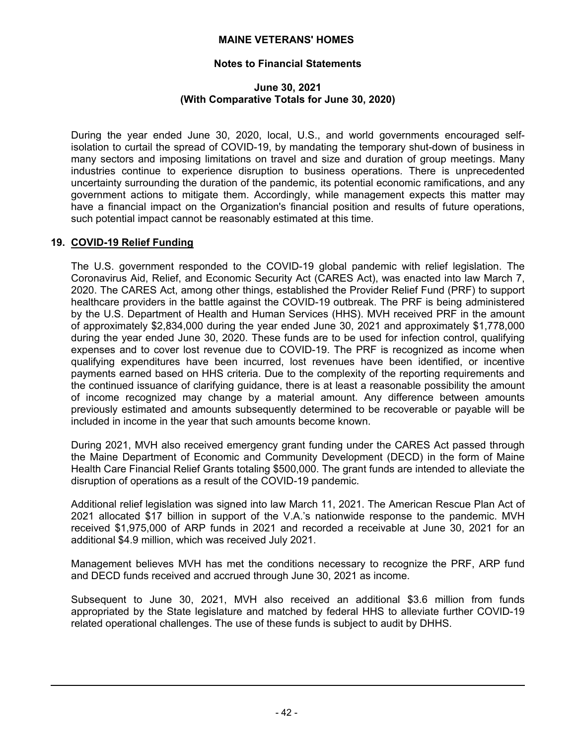# **Notes to Financial Statements**

## **June 30, 2021 (With Comparative Totals for June 30, 2020)**

During the year ended June 30, 2020, local, U.S., and world governments encouraged selfisolation to curtail the spread of COVID-19, by mandating the temporary shut-down of business in many sectors and imposing limitations on travel and size and duration of group meetings. Many industries continue to experience disruption to business operations. There is unprecedented uncertainty surrounding the duration of the pandemic, its potential economic ramifications, and any government actions to mitigate them. Accordingly, while management expects this matter may have a financial impact on the Organization's financial position and results of future operations, such potential impact cannot be reasonably estimated at this time.

# **19. COVID-19 Relief Funding**

The U.S. government responded to the COVID-19 global pandemic with relief legislation. The Coronavirus Aid, Relief, and Economic Security Act (CARES Act), was enacted into law March 7, 2020. The CARES Act, among other things, established the Provider Relief Fund (PRF) to support healthcare providers in the battle against the COVID-19 outbreak. The PRF is being administered by the U.S. Department of Health and Human Services (HHS). MVH received PRF in the amount of approximately \$2,834,000 during the year ended June 30, 2021 and approximately \$1,778,000 during the year ended June 30, 2020. These funds are to be used for infection control, qualifying expenses and to cover lost revenue due to COVID-19. The PRF is recognized as income when qualifying expenditures have been incurred, lost revenues have been identified, or incentive payments earned based on HHS criteria. Due to the complexity of the reporting requirements and the continued issuance of clarifying guidance, there is at least a reasonable possibility the amount of income recognized may change by a material amount. Any difference between amounts previously estimated and amounts subsequently determined to be recoverable or payable will be included in income in the year that such amounts become known.

During 2021, MVH also received emergency grant funding under the CARES Act passed through the Maine Department of Economic and Community Development (DECD) in the form of Maine Health Care Financial Relief Grants totaling \$500,000. The grant funds are intended to alleviate the disruption of operations as a result of the COVID-19 pandemic.

Additional relief legislation was signed into law March 11, 2021. The American Rescue Plan Act of 2021 allocated \$17 billion in support of the V.A.'s nationwide response to the pandemic. MVH received \$1,975,000 of ARP funds in 2021 and recorded a receivable at June 30, 2021 for an additional \$4.9 million, which was received July 2021.

Management believes MVH has met the conditions necessary to recognize the PRF, ARP fund and DECD funds received and accrued through June 30, 2021 as income.

Subsequent to June 30, 2021, MVH also received an additional \$3.6 million from funds appropriated by the State legislature and matched by federal HHS to alleviate further COVID-19 related operational challenges. The use of these funds is subject to audit by DHHS.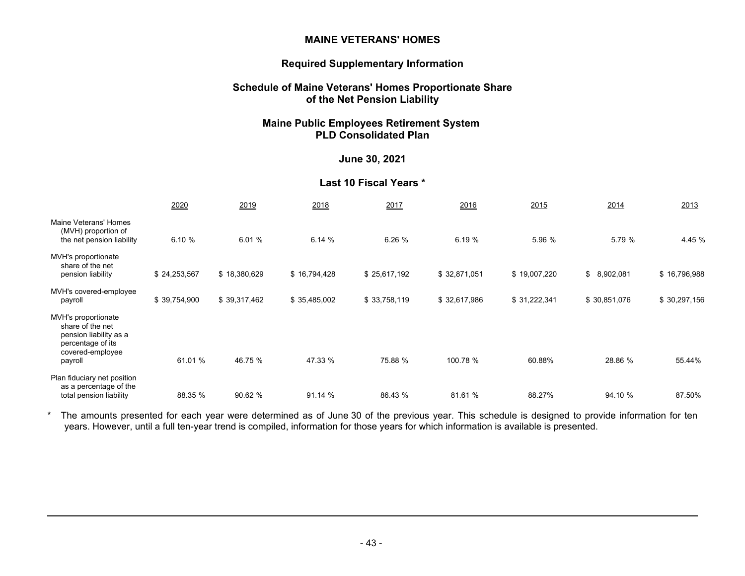#### **Required Supplementary Information**

#### **Schedule of Maine Veterans' Homes Proportionate Share of the Net Pension Liability**

## **Maine Public Employees Retirement System PLD Consolidated Plan**

# **June 30, 2021**

## **Last 10 Fiscal Years \***

|                                                                                                                       | 2020         | 2019         | 2018         | 2017         | 2016         | 2015         | 2014            | 2013         |
|-----------------------------------------------------------------------------------------------------------------------|--------------|--------------|--------------|--------------|--------------|--------------|-----------------|--------------|
| Maine Veterans' Homes<br>(MVH) proportion of<br>the net pension liability                                             | 6.10 %       | 6.01%        | 6.14%        | 6.26 %       | 6.19%        | 5.96 %       | 5.79 %          | 4.45 %       |
| MVH's proportionate<br>share of the net<br>pension liability                                                          | \$24,253,567 | \$18,380,629 | \$16,794,428 | \$25,617,192 | \$32,871,051 | \$19,007,220 | \$<br>8,902,081 | \$16,796,988 |
| MVH's covered-employee<br>payroll                                                                                     | \$39,754,900 | \$39,317,462 | \$35,485,002 | \$33,758,119 | \$32,617,986 | \$31,222,341 | \$30,851,076    | \$30,297,156 |
| MVH's proportionate<br>share of the net<br>pension liability as a<br>percentage of its<br>covered-employee<br>payroll | 61.01 %      | 46.75 %      | 47.33 %      | 75.88 %      | 100.78 %     | 60.88%       | 28.86 %         | 55.44%       |
| Plan fiduciary net position<br>as a percentage of the<br>total pension liability                                      | 88.35 %      | 90.62 %      | 91.14 %      | 86.43 %      | 81.61 %      | 88.27%       | 94.10 %         | 87.50%       |

\* The amounts presented for each year were determined as of June 30 of the previous year. This schedule is designed to provide information for ten years. However, until a full ten-year trend is compiled, information for those years for which information is available is presented.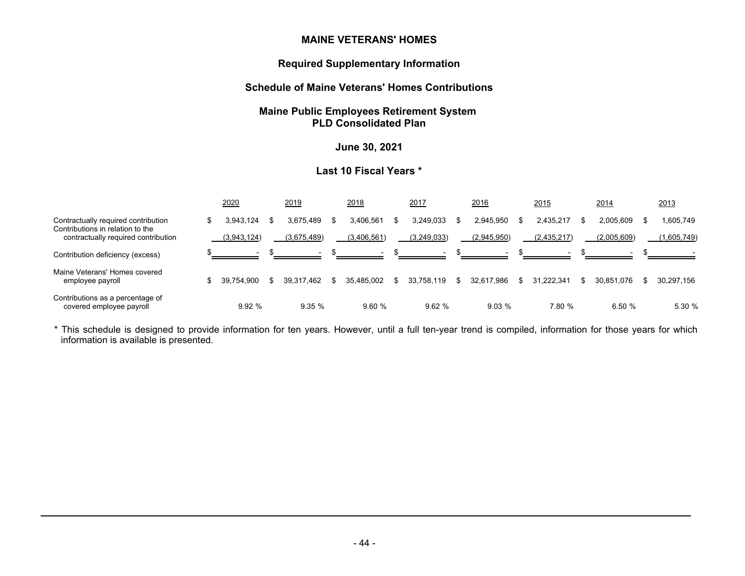#### **Required Supplementary Information**

# **Schedule of Maine Veterans' Homes Contributions**

# **Maine Public Employees Retirement System PLD Consolidated Plan**

# **June 30, 2021**

# **Last 10 Fiscal Years \***

|                                                                                                                |   | <u> 2020</u> | 2019        | 2018        | 2017        |   | 2016        |     | 2015        | 2014             |      | 2013        |
|----------------------------------------------------------------------------------------------------------------|---|--------------|-------------|-------------|-------------|---|-------------|-----|-------------|------------------|------|-------------|
| Contractually required contribution<br>Contributions in relation to the<br>contractually required contribution | ď | 3.943.124    | 3.675.489   | 3.406.561   | 3,249,033   |   | 2,945,950   |     | 2.435.217   | 2.005.609        | - 55 | 1,605,749   |
|                                                                                                                |   | (3,943,124)  | (3,675,489) | (3,406,561) | (3,249,033) |   | (2,945,950) |     | (2,435,217) | (2,005,609)      |      | (1,605,749) |
| Contribution deficiency (excess)                                                                               |   |              |             |             | $\sim$      |   |             |     |             |                  |      |             |
| Maine Veterans' Homes covered<br>employee payroll                                                              |   | 39.754.900   | 39.317.462  | 35.485.002  | 33,758,119  | S | 32.617.986  | \$. | 31.222.341  | \$<br>30.851.076 | \$.  | 30,297,156  |
| Contributions as a percentage of<br>covered employee payroll                                                   |   | 9.92%        | 9.35%       | 9.60%       | 9.62%       |   | 9.03%       |     | 7.80 %      | 6.50 %           |      | 5.30 %      |

\* This schedule is designed to provide information for ten years. However, until a full ten-year trend is compiled, information for those years for which information is available is presented.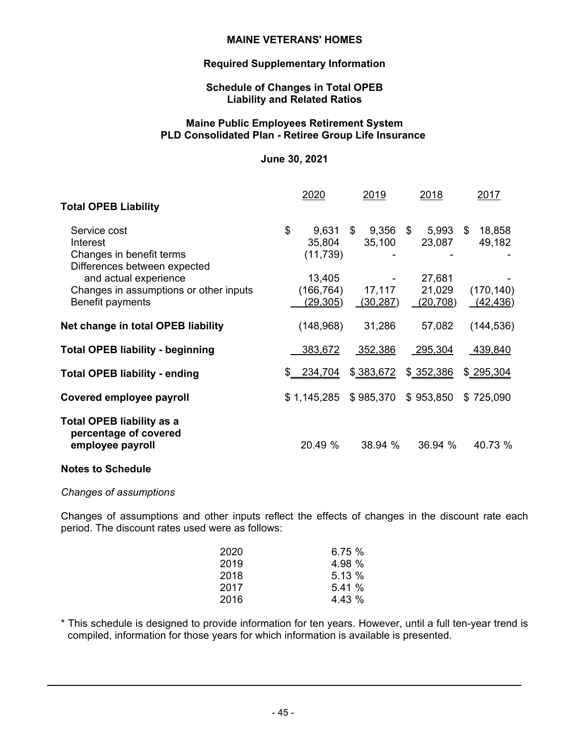# **Required Supplementary Information**

## **Schedule of Changes in Total OPEB Liability and Related Ratios**

# **Maine Public Employees Retirement System PLD Consolidated Plan - Retiree Group Life Insurance**

#### **June 30, 2021**

|                                                                                      | 2020                                    | 2019                       | 2018                          | 2017                    |
|--------------------------------------------------------------------------------------|-----------------------------------------|----------------------------|-------------------------------|-------------------------|
| <b>Total OPEB Liability</b>                                                          |                                         |                            |                               |                         |
| Service cost<br>Interest<br>Changes in benefit terms<br>Differences between expected | \$<br>9,631<br>35,804<br>(11, 739)      | \$<br>$9,356$ \$<br>35,100 | $5,993$ \$<br>23,087          | 18,858<br>49,182        |
| and actual experience<br>Changes in assumptions or other inputs<br>Benefit payments  | 13,405<br>(166, 764)<br><u>(29,305)</u> | 17,117<br>(30, 287)        | 27,681<br>21,029<br>(20, 708) | (170, 140)<br>(42, 436) |
| Net change in total OPEB liability                                                   | (148, 968)                              | 31,286                     | 57,082                        | (144, 536)              |
| <b>Total OPEB liability - beginning</b>                                              | 383,672                                 | 352,386                    | 295,304                       | 439,840                 |
| <b>Total OPEB liability - ending</b>                                                 | \$234,704                               | \$383,672                  | \$ 352,386                    | \$295,304               |
| Covered employee payroll                                                             | \$1,145,285                             | \$985,370                  | \$953,850                     | \$725,090               |
| <b>Total OPEB liability as a</b><br>percentage of covered<br>employee payroll        | 20.49 %                                 | 38.94 %                    | 36.94 %                       | 40.73 %                 |

# **Notes to Schedule**

#### *Changes of assumptions*

Changes of assumptions and other inputs reflect the effects of changes in the discount rate each period. The discount rates used were as follows:

| 2020 | 6.75%  |
|------|--------|
| 2019 | 4.98 % |
| 2018 | 5.13 % |
| 2017 | 5.41%  |
| 2016 | 4.43 % |

\* This schedule is designed to provide information for ten years. However, until a full ten-year trend is compiled, information for those years for which information is available is presented.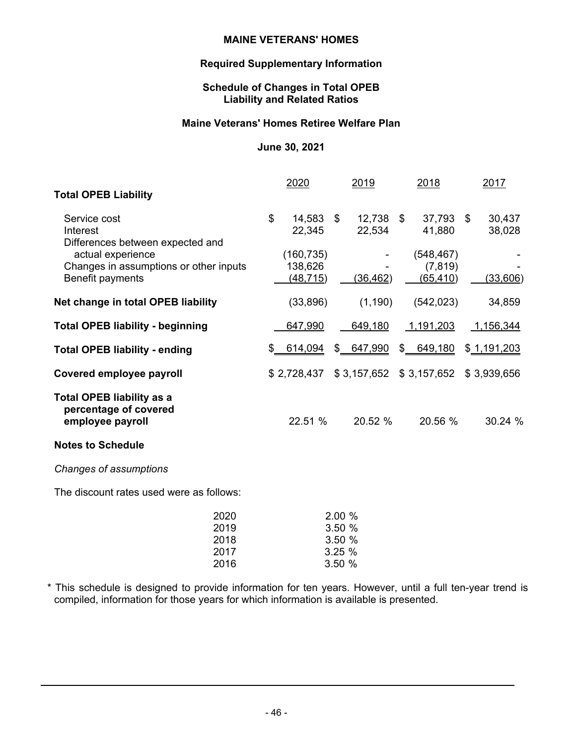# **Required Supplementary Information**

# **Schedule of Changes in Total OPEB Liability and Related Ratios**

# **Maine Veterans' Homes Retiree Welfare Plan**

#### **June 30, 2021**

|                                                                                 | 2020                               |                                      | 2019                  |              | 2018                                | 2017             |
|---------------------------------------------------------------------------------|------------------------------------|--------------------------------------|-----------------------|--------------|-------------------------------------|------------------|
| <b>Total OPEB Liability</b>                                                     |                                    |                                      |                       |              |                                     |                  |
| Service cost<br>Interest<br>Differences between expected and                    | \$<br>14,583<br>22,345             | \$                                   | $12,738$ \$<br>22,534 |              | 37,793 \$<br>41,880                 | 30,437<br>38,028 |
| actual experience<br>Changes in assumptions or other inputs<br>Benefit payments | (160, 735)<br>138,626<br>(48, 715) |                                      | <u>(36,462)</u>       |              | (548, 467)<br>(7, 819)<br>(65, 410) | (33,606)         |
| Net change in total OPEB liability                                              | (33, 896)                          |                                      | (1, 190)              |              | (542, 023)                          | 34,859           |
| <b>Total OPEB liability - beginning</b>                                         | 647,990                            |                                      | 649,180               |              | 1,191,203                           | 1,156,344        |
| <b>Total OPEB liability - ending</b>                                            | \$<br>614,094                      | \$                                   | 647,990               | $\mathbb{S}$ | 649,180                             | \$1,191,203      |
| Covered employee payroll                                                        | \$2,728,437                        |                                      |                       |              | $$3,157,652$ $$3,157,652$           | \$3,939,656      |
| <b>Total OPEB liability as a</b><br>percentage of covered<br>employee payroll   | 22.51 %                            |                                      | 20.52 %               |              | 20.56 %                             | 30.24 %          |
| <b>Notes to Schedule</b>                                                        |                                    |                                      |                       |              |                                     |                  |
| Changes of assumptions                                                          |                                    |                                      |                       |              |                                     |                  |
| The discount rates used were as follows:                                        |                                    |                                      |                       |              |                                     |                  |
| 2020<br>2019<br>2018<br>2017                                                    |                                    | 2.00 %<br>3.50 %<br>3.50 %<br>3.25 % |                       |              |                                     |                  |

\* This schedule is designed to provide information for ten years. However, until a full ten-year trend is compiled, information for those years for which information is available is presented.

2016 3.50 %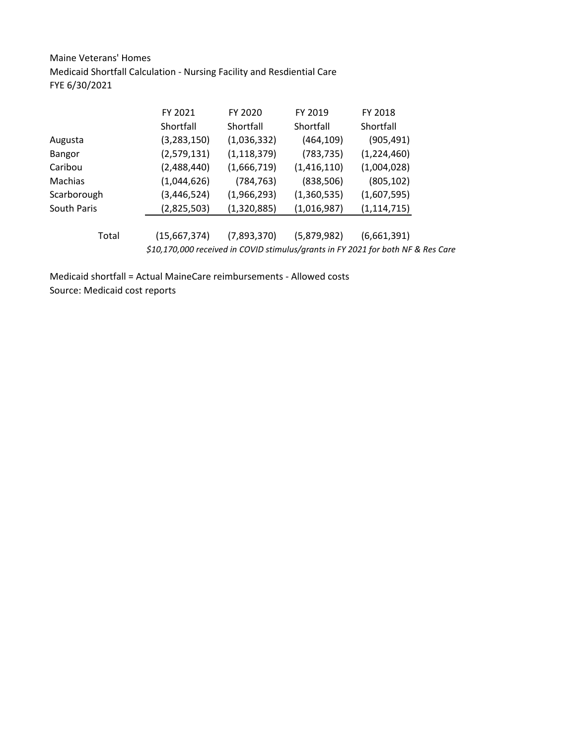Maine Veterans' Homes Medicaid Shortfall Calculation - Nursing Facility and Resdiential Care FYE 6/30/2021

| FY 2021       | FY 2020       | FY 2019     | FY 2018                                                                          |
|---------------|---------------|-------------|----------------------------------------------------------------------------------|
| Shortfall     | Shortfall     | Shortfall   | Shortfall                                                                        |
| (3, 283, 150) | (1,036,332)   | (464, 109)  | (905, 491)                                                                       |
| (2,579,131)   | (1, 118, 379) | (783, 735)  | (1,224,460)                                                                      |
| (2,488,440)   | (1,666,719)   | (1,416,110) | (1,004,028)                                                                      |
| (1,044,626)   | (784, 763)    | (838, 506)  | (805, 102)                                                                       |
| (3, 446, 524) | (1,966,293)   | (1,360,535) | (1,607,595)                                                                      |
| (2,825,503)   | (1,320,885)   | (1,016,987) | (1, 114, 715)                                                                    |
|               |               |             |                                                                                  |
| (15,667,374)  | (7,893,370)   | (5,879,982) | (6,661,391)                                                                      |
|               |               |             |                                                                                  |
|               |               |             | \$10,170,000 received in COVID stimulus/grants in FY 2021 for both NF & Res Care |

Medicaid shortfall = Actual MaineCare reimbursements - Allowed costs Source: Medicaid cost reports